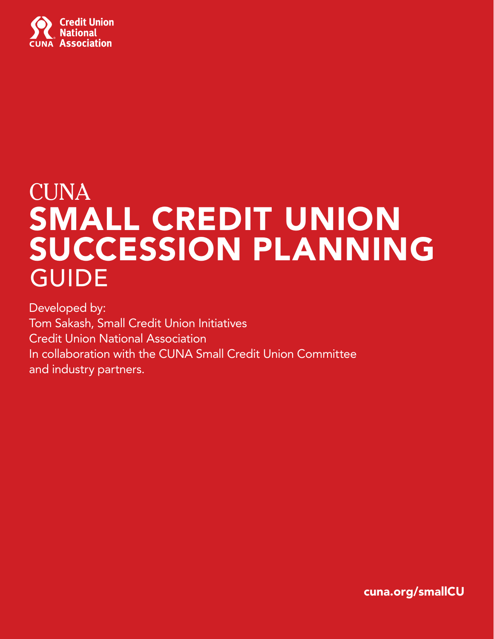

# **CUNA** SMALL CREDIT UNION SUCCESSION PLANNING GUIDE

Developed by: Tom Sakash, Small Credit Union Initiatives Credit Union National Association In collaboration with the CUNA Small Credit Union Committee and industry partners.

cuna.org/smallCU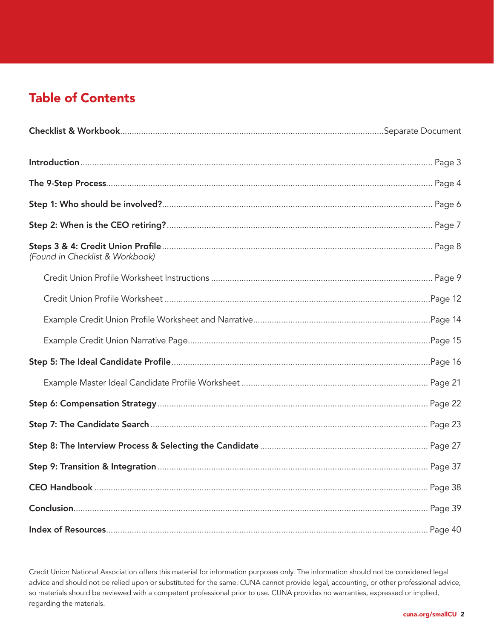# Table of Contents

| (Found in Checklist & Workbook) |  |
|---------------------------------|--|
|                                 |  |
|                                 |  |
|                                 |  |
|                                 |  |
|                                 |  |
|                                 |  |
|                                 |  |
|                                 |  |
|                                 |  |
|                                 |  |
|                                 |  |
|                                 |  |
|                                 |  |

Credit Union National Association offers this material for information purposes only. The information should not be considered legal advice and should not be relied upon or substituted for the same. CUNA cannot provide legal, accounting, or other professional advice, so materials should be reviewed with a competent professional prior to use. CUNA provides no warranties, expressed or implied, regarding the materials.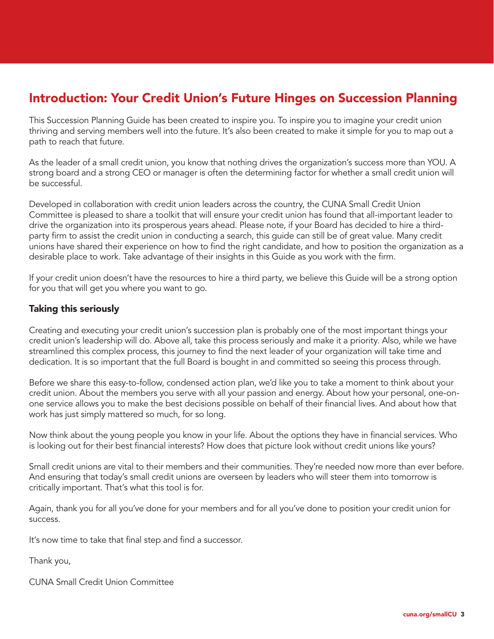# Introduction: Your Credit Union's Future Hinges on Succession Planning

This Succession Planning Guide has been created to inspire you. To inspire you to imagine your credit union thriving and serving members well into the future. It's also been created to make it simple for you to map out a path to reach that future.

As the leader of a small credit union, you know that nothing drives the organization's success more than YOU. A strong board and a strong CEO or manager is often the determining factor for whether a small credit union will be successful.

Developed in collaboration with credit union leaders across the country, the CUNA Small Credit Union Committee is pleased to share a toolkit that will ensure your credit union has found that all-important leader to drive the organization into its prosperous years ahead. Please note, if your Board has decided to hire a thirdparty firm to assist the credit union in conducting a search, this guide can still be of great value. Many credit unions have shared their experience on how to find the right candidate, and how to position the organization as a desirable place to work. Take advantage of their insights in this Guide as you work with the firm.

If your credit union doesn't have the resources to hire a third party, we believe this Guide will be a strong option for you that will get you where you want to go.

# Taking this seriously

Creating and executing your credit union's succession plan is probably one of the most important things your credit union's leadership will do. Above all, take this process seriously and make it a priority. Also, while we have streamlined this complex process, this journey to find the next leader of your organization will take time and dedication. It is so important that the full Board is bought in and committed so seeing this process through.

Before we share this easy-to-follow, condensed action plan, we'd like you to take a moment to think about your credit union. About the members you serve with all your passion and energy. About how your personal, one-onone service allows you to make the best decisions possible on behalf of their financial lives. And about how that work has just simply mattered so much, for so long.

Now think about the young people you know in your life. About the options they have in financial services. Who is looking out for their best financial interests? How does that picture look without credit unions like yours?

Small credit unions are vital to their members and their communities. They're needed now more than ever before. And ensuring that today's small credit unions are overseen by leaders who will steer them into tomorrow is critically important. That's what this tool is for.

Again, thank you for all you've done for your members and for all you've done to position your credit union for success.

It's now time to take that final step and find a successor.

Thank you,

CUNA Small Credit Union Committee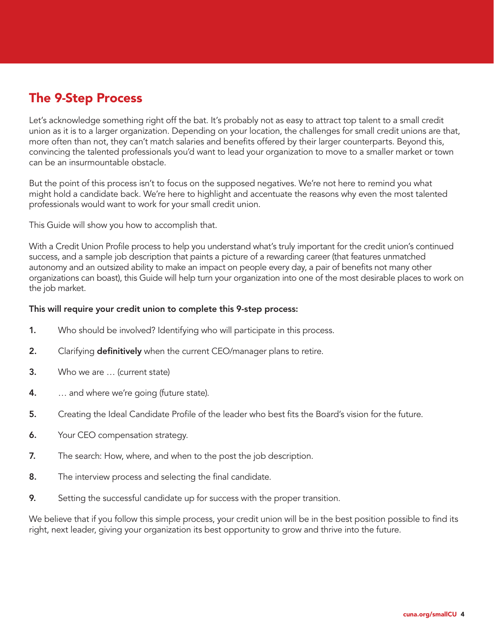# The 9-Step Process

Let's acknowledge something right off the bat. It's probably not as easy to attract top talent to a small credit union as it is to a larger organization. Depending on your location, the challenges for small credit unions are that, more often than not, they can't match salaries and benefits offered by their larger counterparts. Beyond this, convincing the talented professionals you'd want to lead your organization to move to a smaller market or town can be an insurmountable obstacle.

But the point of this process isn't to focus on the supposed negatives. We're not here to remind you what might hold a candidate back. We're here to highlight and accentuate the reasons why even the most talented professionals would want to work for your small credit union.

This Guide will show you how to accomplish that.

With a Credit Union Profile process to help you understand what's truly important for the credit union's continued success, and a sample job description that paints a picture of a rewarding career (that features unmatched autonomy and an outsized ability to make an impact on people every day, a pair of benefits not many other organizations can boast), this Guide will help turn your organization into one of the most desirable places to work on the job market.

#### This will require your credit union to complete this 9-step process:

- 1. Who should be involved? Identifying who will participate in this process.
- 2. Clarifying **definitively** when the current CEO/manager plans to retire.
- 3. Who we are … (current state)
- **4.** ... and where we're going (future state).
- 5. Creating the Ideal Candidate Profile of the leader who best fits the Board's vision for the future.
- **6.** Your CEO compensation strategy.
- **7.** The search: How, where, and when to the post the job description.
- 8. The interview process and selecting the final candidate.
- 9. Setting the successful candidate up for success with the proper transition.

We believe that if you follow this simple process, your credit union will be in the best position possible to find its right, next leader, giving your organization its best opportunity to grow and thrive into the future.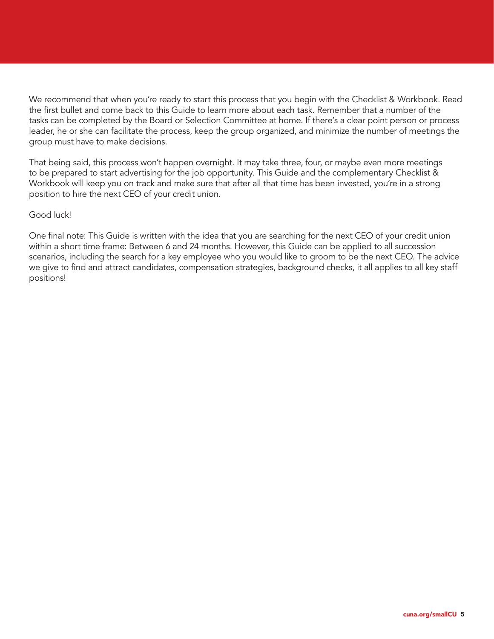We recommend that when you're ready to start this process that you begin with the Checklist & Workbook. Read the first bullet and come back to this Guide to learn more about each task. Remember that a number of the tasks can be completed by the Board or Selection Committee at home. If there's a clear point person or process leader, he or she can facilitate the process, keep the group organized, and minimize the number of meetings the group must have to make decisions.

That being said, this process won't happen overnight. It may take three, four, or maybe even more meetings to be prepared to start advertising for the job opportunity. This Guide and the complementary Checklist & Workbook will keep you on track and make sure that after all that time has been invested, you're in a strong position to hire the next CEO of your credit union.

#### Good luck!

One final note: This Guide is written with the idea that you are searching for the next CEO of your credit union within a short time frame: Between 6 and 24 months. However, this Guide can be applied to all succession scenarios, including the search for a key employee who you would like to groom to be the next CEO. The advice we give to find and attract candidates, compensation strategies, background checks, it all applies to all key staff positions!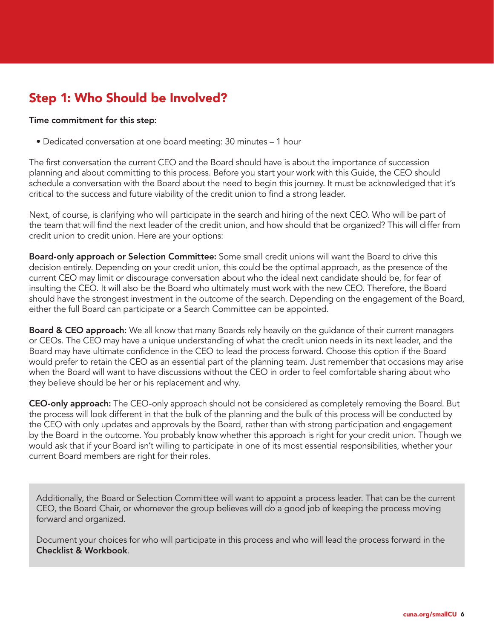# Step 1: Who Should be Involved?

#### Time commitment for this step:

• Dedicated conversation at one board meeting: 30 minutes – 1 hour

The first conversation the current CEO and the Board should have is about the importance of succession planning and about committing to this process. Before you start your work with this Guide, the CEO should schedule a conversation with the Board about the need to begin this journey. It must be acknowledged that it's critical to the success and future viability of the credit union to find a strong leader.

Next, of course, is clarifying who will participate in the search and hiring of the next CEO. Who will be part of the team that will find the next leader of the credit union, and how should that be organized? This will differ from credit union to credit union. Here are your options:

Board-only approach or Selection Committee: Some small credit unions will want the Board to drive this decision entirely. Depending on your credit union, this could be the optimal approach, as the presence of the current CEO may limit or discourage conversation about who the ideal next candidate should be, for fear of insulting the CEO. It will also be the Board who ultimately must work with the new CEO. Therefore, the Board should have the strongest investment in the outcome of the search. Depending on the engagement of the Board, either the full Board can participate or a Search Committee can be appointed.

**Board & CEO approach:** We all know that many Boards rely heavily on the quidance of their current managers or CEOs. The CEO may have a unique understanding of what the credit union needs in its next leader, and the Board may have ultimate confidence in the CEO to lead the process forward. Choose this option if the Board would prefer to retain the CEO as an essential part of the planning team. Just remember that occasions may arise when the Board will want to have discussions without the CEO in order to feel comfortable sharing about who they believe should be her or his replacement and why.

CEO-only approach: The CEO-only approach should not be considered as completely removing the Board. But the process will look different in that the bulk of the planning and the bulk of this process will be conducted by the CEO with only updates and approvals by the Board, rather than with strong participation and engagement by the Board in the outcome. You probably know whether this approach is right for your credit union. Though we would ask that if your Board isn't willing to participate in one of its most essential responsibilities, whether your current Board members are right for their roles.

Additionally, the Board or Selection Committee will want to appoint a process leader. That can be the current CEO, the Board Chair, or whomever the group believes will do a good job of keeping the process moving forward and organized.

Document your choices for who will participate in this process and who will lead the process forward in the Checklist & Workbook.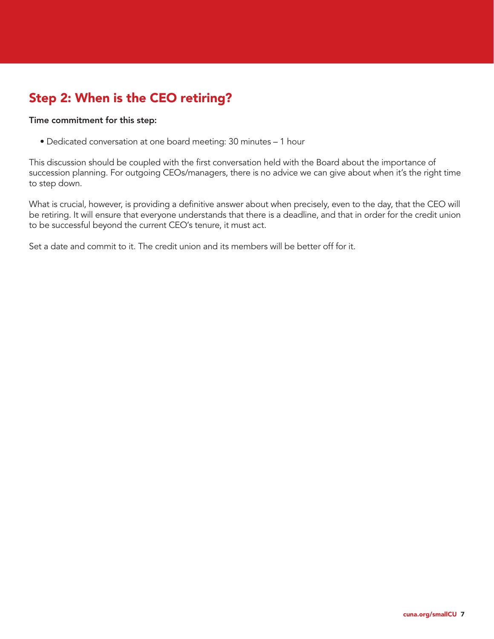# Step 2: When is the CEO retiring?

#### Time commitment for this step:

• Dedicated conversation at one board meeting: 30 minutes – 1 hour

This discussion should be coupled with the first conversation held with the Board about the importance of succession planning. For outgoing CEOs/managers, there is no advice we can give about when it's the right time to step down.

What is crucial, however, is providing a definitive answer about when precisely, even to the day, that the CEO will be retiring. It will ensure that everyone understands that there is a deadline, and that in order for the credit union to be successful beyond the current CEO's tenure, it must act.

Set a date and commit to it. The credit union and its members will be better off for it.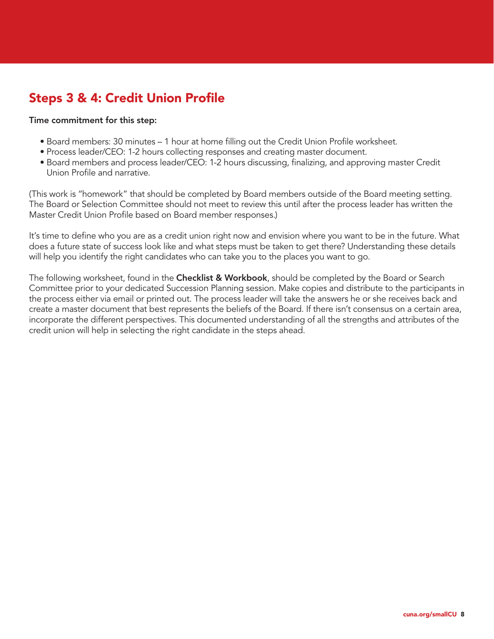# Steps 3 & 4: Credit Union Profile

#### Time commitment for this step:

- Board members: 30 minutes 1 hour at home filling out the Credit Union Profile worksheet.
- Process leader/CEO: 1-2 hours collecting responses and creating master document.
- Board members and process leader/CEO: 1-2 hours discussing, finalizing, and approving master Credit Union Profile and narrative.

(This work is "homework" that should be completed by Board members outside of the Board meeting setting. The Board or Selection Committee should not meet to review this until after the process leader has written the Master Credit Union Profile based on Board member responses.)

It's time to define who you are as a credit union right now and envision where you want to be in the future. What does a future state of success look like and what steps must be taken to get there? Understanding these details will help you identify the right candidates who can take you to the places you want to go.

The following worksheet, found in the **Checklist & Workbook**, should be completed by the Board or Search Committee prior to your dedicated Succession Planning session. Make copies and distribute to the participants in the process either via email or printed out. The process leader will take the answers he or she receives back and create a master document that best represents the beliefs of the Board. If there isn't consensus on a certain area, incorporate the different perspectives. This documented understanding of all the strengths and attributes of the credit union will help in selecting the right candidate in the steps ahead.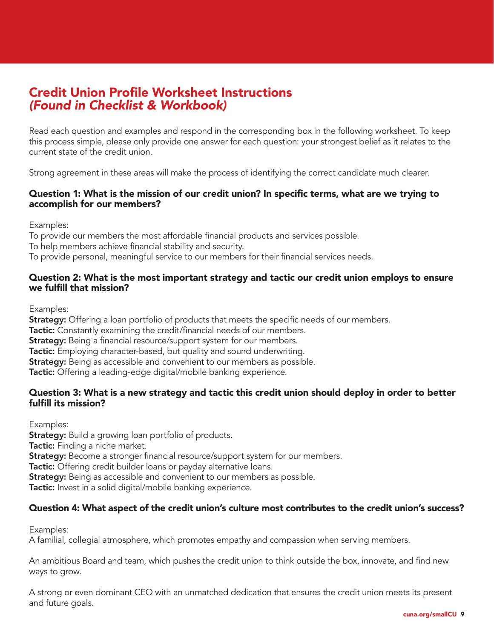# Credit Union Profile Worksheet Instructions *(Found in Checklist & Workbook)*

Read each question and examples and respond in the corresponding box in the following worksheet. To keep this process simple, please only provide one answer for each question: your strongest belief as it relates to the current state of the credit union.

Strong agreement in these areas will make the process of identifying the correct candidate much clearer.

# Question 1: What is the mission of our credit union? In specific terms, what are we trying to accomplish for our members?

Examples:

To provide our members the most affordable financial products and services possible. To help members achieve financial stability and security. To provide personal, meaningful service to our members for their financial services needs.

### Question 2: What is the most important strategy and tactic our credit union employs to ensure we fulfill that mission?

Examples:

**Strategy:** Offering a loan portfolio of products that meets the specific needs of our members. **Tactic:** Constantly examining the credit/financial needs of our members. **Strategy:** Being a financial resource/support system for our members. Tactic: Employing character-based, but quality and sound underwriting. Strategy: Being as accessible and convenient to our members as possible. Tactic: Offering a leading-edge digital/mobile banking experience.

# Question 3: What is a new strategy and tactic this credit union should deploy in order to better fulfill its mission?

Examples: **Strategy:** Build a growing loan portfolio of products. Tactic: Finding a niche market. **Strategy:** Become a stronger financial resource/support system for our members. Tactic: Offering credit builder loans or payday alternative loans. **Strategy:** Being as accessible and convenient to our members as possible. Tactic: Invest in a solid digital/mobile banking experience.

# Question 4: What aspect of the credit union's culture most contributes to the credit union's success?

Examples:

A familial, collegial atmosphere, which promotes empathy and compassion when serving members.

An ambitious Board and team, which pushes the credit union to think outside the box, innovate, and find new ways to grow.

A strong or even dominant CEO with an unmatched dedication that ensures the credit union meets its present and future goals.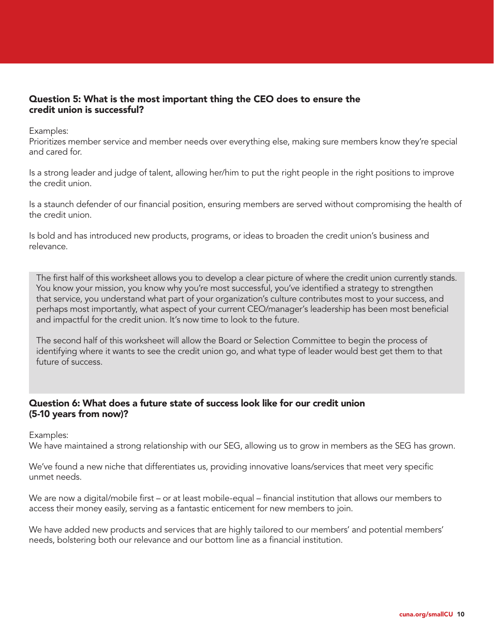### Question 5: What is the most important thing the CEO does to ensure the credit union is successful?

Examples:

Prioritizes member service and member needs over everything else, making sure members know they're special and cared for.

Is a strong leader and judge of talent, allowing her/him to put the right people in the right positions to improve the credit union.

Is a staunch defender of our financial position, ensuring members are served without compromising the health of the credit union.

Is bold and has introduced new products, programs, or ideas to broaden the credit union's business and relevance.

The first half of this worksheet allows you to develop a clear picture of where the credit union currently stands. You know your mission, you know why you're most successful, you've identified a strategy to strengthen that service, you understand what part of your organization's culture contributes most to your success, and perhaps most importantly, what aspect of your current CEO/manager's leadership has been most beneficial and impactful for the credit union. It's now time to look to the future.

The second half of this worksheet will allow the Board or Selection Committee to begin the process of identifying where it wants to see the credit union go, and what type of leader would best get them to that future of success.

#### Question 6: What does a future state of success look like for our credit union (5-10 years from now)?

Examples:

We have maintained a strong relationship with our SEG, allowing us to grow in members as the SEG has grown.

We've found a new niche that differentiates us, providing innovative loans/services that meet very specific unmet needs.

We are now a digital/mobile first – or at least mobile-equal – financial institution that allows our members to access their money easily, serving as a fantastic enticement for new members to join.

We have added new products and services that are highly tailored to our members' and potential members' needs, bolstering both our relevance and our bottom line as a financial institution.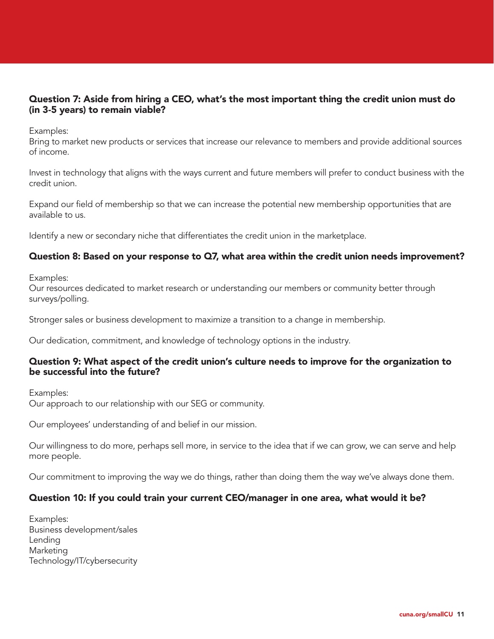# Question 7: Aside from hiring a CEO, what's the most important thing the credit union must do (in 3-5 years) to remain viable?

Examples:

Bring to market new products or services that increase our relevance to members and provide additional sources of income.

Invest in technology that aligns with the ways current and future members will prefer to conduct business with the credit union.

Expand our field of membership so that we can increase the potential new membership opportunities that are available to us.

Identify a new or secondary niche that differentiates the credit union in the marketplace.

# Question 8: Based on your response to Q7, what area within the credit union needs improvement?

Examples:

Our resources dedicated to market research or understanding our members or community better through surveys/polling.

Stronger sales or business development to maximize a transition to a change in membership.

Our dedication, commitment, and knowledge of technology options in the industry.

#### Question 9: What aspect of the credit union's culture needs to improve for the organization to be successful into the future?

Examples: Our approach to our relationship with our SEG or community.

Our employees' understanding of and belief in our mission.

Our willingness to do more, perhaps sell more, in service to the idea that if we can grow, we can serve and help more people.

Our commitment to improving the way we do things, rather than doing them the way we've always done them.

#### Question 10: If you could train your current CEO/manager in one area, what would it be?

Examples: Business development/sales Lending **Marketing** Technology/IT/cybersecurity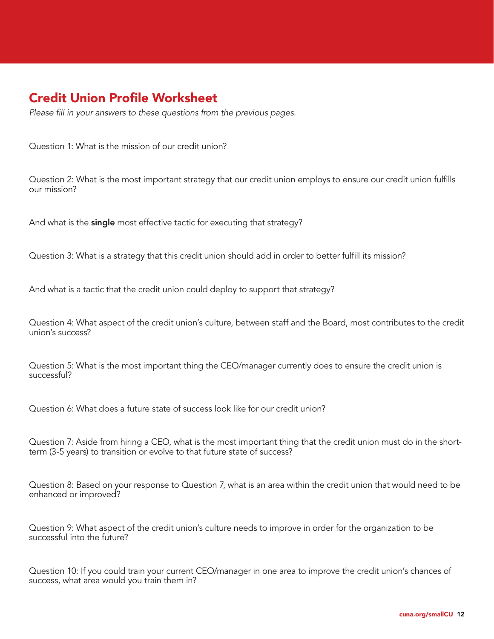# Credit Union Profile Worksheet

*Please fill in your answers to these questions from the previous pages.*

Question 1: What is the mission of our credit union?

Question 2: What is the most important strategy that our credit union employs to ensure our credit union fulfills our mission?

And what is the single most effective tactic for executing that strategy?

Question 3: What is a strategy that this credit union should add in order to better fulfill its mission?

And what is a tactic that the credit union could deploy to support that strategy?

Question 4: What aspect of the credit union's culture, between staff and the Board, most contributes to the credit union's success?

Question 5: What is the most important thing the CEO/manager currently does to ensure the credit union is successful?

Question 6: What does a future state of success look like for our credit union?

Question 7: Aside from hiring a CEO, what is the most important thing that the credit union must do in the shortterm (3-5 years) to transition or evolve to that future state of success?

Question 8: Based on your response to Question 7, what is an area within the credit union that would need to be enhanced or improved?

Question 9: What aspect of the credit union's culture needs to improve in order for the organization to be successful into the future?

Question 10: If you could train your current CEO/manager in one area to improve the credit union's chances of success, what area would you train them in?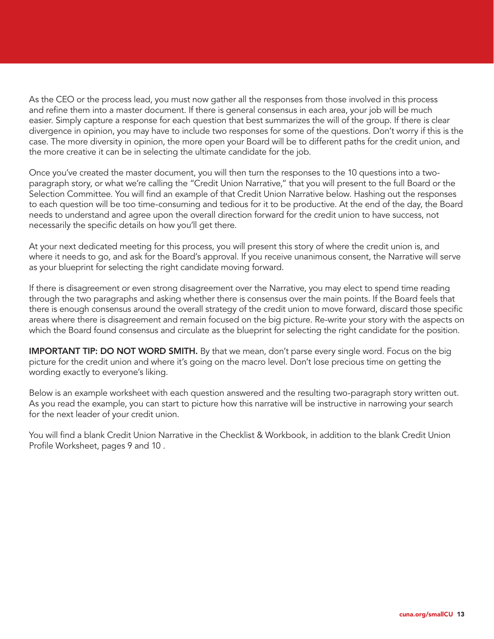As the CEO or the process lead, you must now gather all the responses from those involved in this process and refine them into a master document. If there is general consensus in each area, your job will be much easier. Simply capture a response for each question that best summarizes the will of the group. If there is clear divergence in opinion, you may have to include two responses for some of the questions. Don't worry if this is the case. The more diversity in opinion, the more open your Board will be to different paths for the credit union, and the more creative it can be in selecting the ultimate candidate for the job.

Once you've created the master document, you will then turn the responses to the 10 questions into a twoparagraph story, or what we're calling the "Credit Union Narrative," that you will present to the full Board or the Selection Committee. You will find an example of that Credit Union Narrative below. Hashing out the responses to each question will be too time-consuming and tedious for it to be productive. At the end of the day, the Board needs to understand and agree upon the overall direction forward for the credit union to have success, not necessarily the specific details on how you'll get there.

At your next dedicated meeting for this process, you will present this story of where the credit union is, and where it needs to go, and ask for the Board's approval. If you receive unanimous consent, the Narrative will serve as your blueprint for selecting the right candidate moving forward.

If there is disagreement or even strong disagreement over the Narrative, you may elect to spend time reading through the two paragraphs and asking whether there is consensus over the main points. If the Board feels that there is enough consensus around the overall strategy of the credit union to move forward, discard those specific areas where there is disagreement and remain focused on the big picture. Re-write your story with the aspects on which the Board found consensus and circulate as the blueprint for selecting the right candidate for the position.

**IMPORTANT TIP: DO NOT WORD SMITH.** By that we mean, don't parse every single word. Focus on the big picture for the credit union and where it's going on the macro level. Don't lose precious time on getting the wording exactly to everyone's liking.

Below is an example worksheet with each question answered and the resulting two-paragraph story written out. As you read the example, you can start to picture how this narrative will be instructive in narrowing your search for the next leader of your credit union.

You will find a blank Credit Union Narrative in the Checklist & Workbook, in addition to the blank Credit Union Profile Worksheet, pages 9 and 10 .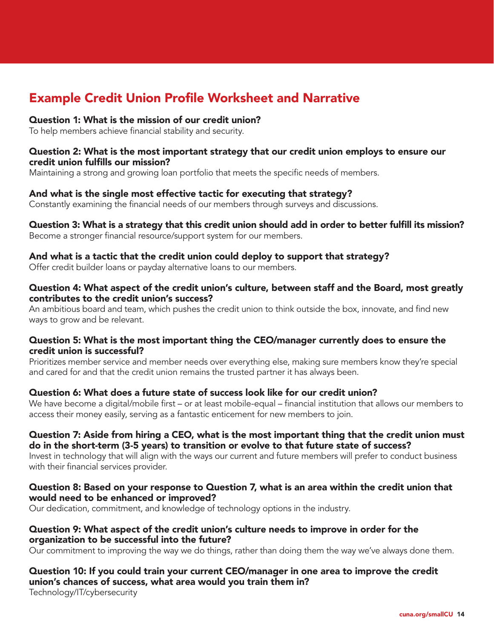# Example Credit Union Profile Worksheet and Narrative

### Question 1: What is the mission of our credit union?

To help members achieve financial stability and security.

#### Question 2: What is the most important strategy that our credit union employs to ensure our credit union fulfills our mission?

Maintaining a strong and growing loan portfolio that meets the specific needs of members.

### And what is the single most effective tactic for executing that strategy?

Constantly examining the financial needs of our members through surveys and discussions.

#### Question 3: What is a strategy that this credit union should add in order to better fulfill its mission? Become a stronger financial resource/support system for our members.

### And what is a tactic that the credit union could deploy to support that strategy?

Offer credit builder loans or payday alternative loans to our members.

#### Question 4: What aspect of the credit union's culture, between staff and the Board, most greatly contributes to the credit union's success?

An ambitious board and team, which pushes the credit union to think outside the box, innovate, and find new ways to grow and be relevant.

#### Question 5: What is the most important thing the CEO/manager currently does to ensure the credit union is successful?

Prioritizes member service and member needs over everything else, making sure members know they're special and cared for and that the credit union remains the trusted partner it has always been.

# Question 6: What does a future state of success look like for our credit union?

We have become a digital/mobile first – or at least mobile-equal – financial institution that allows our members to access their money easily, serving as a fantastic enticement for new members to join.

# Question 7: Aside from hiring a CEO, what is the most important thing that the credit union must do in the short-term (3-5 years) to transition or evolve to that future state of success?

Invest in technology that will align with the ways our current and future members will prefer to conduct business with their financial services provider.

### Question 8: Based on your response to Question 7, what is an area within the credit union that would need to be enhanced or improved?

Our dedication, commitment, and knowledge of technology options in the industry.

### Question 9: What aspect of the credit union's culture needs to improve in order for the organization to be successful into the future?

Our commitment to improving the way we do things, rather than doing them the way we've always done them.

# Question 10: If you could train your current CEO/manager in one area to improve the credit union's chances of success, what area would you train them in?

Technology/IT/cybersecurity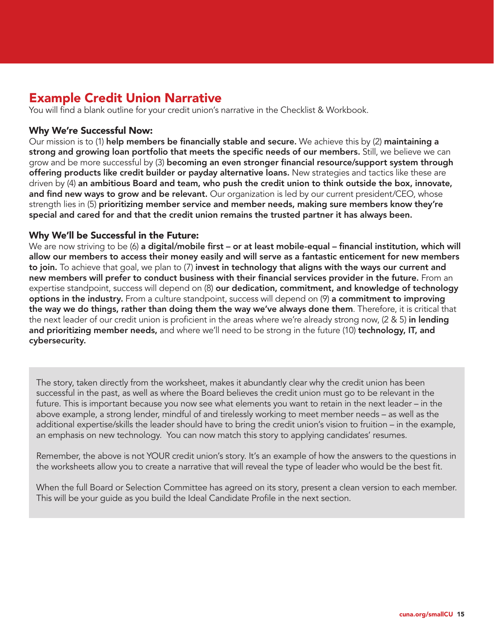# Example Credit Union Narrative

You will find a blank outline for your credit union's narrative in the Checklist & Workbook.

# Why We're Successful Now:

Our mission is to (1) help members be financially stable and secure. We achieve this by (2) maintaining a strong and growing loan portfolio that meets the specific needs of our members. Still, we believe we can grow and be more successful by (3) becoming an even stronger financial resource/support system through offering products like credit builder or payday alternative loans. New strategies and tactics like these are driven by (4) an ambitious Board and team, who push the credit union to think outside the box, innovate, and find new ways to grow and be relevant. Our organization is led by our current president/CEO, whose strength lies in (5) prioritizing member service and member needs, making sure members know they're special and cared for and that the credit union remains the trusted partner it has always been.

# Why We'll be Successful in the Future:

We are now striving to be (6) a digital/mobile first – or at least mobile-equal – financial institution, which will allow our members to access their money easily and will serve as a fantastic enticement for new members to join. To achieve that goal, we plan to (7) invest in technology that aligns with the ways our current and new members will prefer to conduct business with their financial services provider in the future. From an expertise standpoint, success will depend on (8) our dedication, commitment, and knowledge of technology options in the industry. From a culture standpoint, success will depend on (9) a commitment to improving the way we do things, rather than doing them the way we've always done them. Therefore, it is critical that the next leader of our credit union is proficient in the areas where we're already strong now, (2 & 5) in lending and prioritizing member needs, and where we'll need to be strong in the future (10) technology, IT, and cybersecurity.

The story, taken directly from the worksheet, makes it abundantly clear why the credit union has been successful in the past, as well as where the Board believes the credit union must go to be relevant in the future. This is important because you now see what elements you want to retain in the next leader – in the above example, a strong lender, mindful of and tirelessly working to meet member needs – as well as the additional expertise/skills the leader should have to bring the credit union's vision to fruition – in the example, an emphasis on new technology. You can now match this story to applying candidates' resumes.

Remember, the above is not YOUR credit union's story. It's an example of how the answers to the questions in the worksheets allow you to create a narrative that will reveal the type of leader who would be the best fit.

When the full Board or Selection Committee has agreed on its story, present a clean version to each member. This will be your guide as you build the Ideal Candidate Profile in the next section.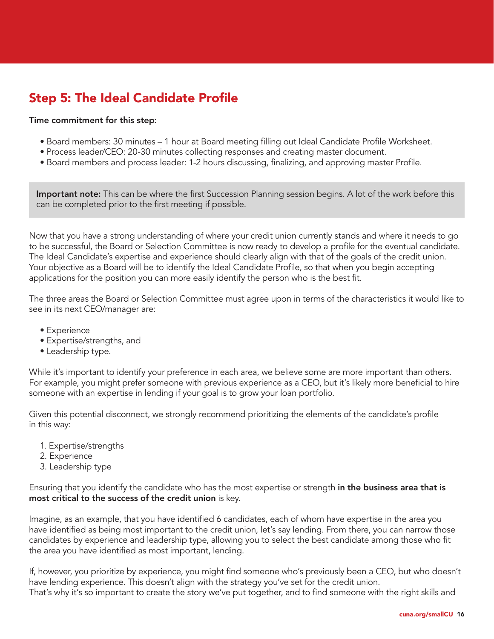# Step 5: The Ideal Candidate Profile

#### Time commitment for this step:

- Board members: 30 minutes 1 hour at Board meeting filling out Ideal Candidate Profile Worksheet.
- Process leader/CEO: 20-30 minutes collecting responses and creating master document.
- Board members and process leader: 1-2 hours discussing, finalizing, and approving master Profile.

Important note: This can be where the first Succession Planning session begins. A lot of the work before this can be completed prior to the first meeting if possible.

Now that you have a strong understanding of where your credit union currently stands and where it needs to go to be successful, the Board or Selection Committee is now ready to develop a profile for the eventual candidate. The Ideal Candidate's expertise and experience should clearly align with that of the goals of the credit union. Your objective as a Board will be to identify the Ideal Candidate Profile, so that when you begin accepting applications for the position you can more easily identify the person who is the best fit.

The three areas the Board or Selection Committee must agree upon in terms of the characteristics it would like to see in its next CEO/manager are:

- Experience
- Expertise/strengths, and
- Leadership type.

While it's important to identify your preference in each area, we believe some are more important than others. For example, you might prefer someone with previous experience as a CEO, but it's likely more beneficial to hire someone with an expertise in lending if your goal is to grow your loan portfolio.

Given this potential disconnect, we strongly recommend prioritizing the elements of the candidate's profile in this way:

- 1. Expertise/strengths
- 2. Experience
- 3. Leadership type

Ensuring that you identify the candidate who has the most expertise or strength in the business area that is most critical to the success of the credit union is key.

Imagine, as an example, that you have identified 6 candidates, each of whom have expertise in the area you have identified as being most important to the credit union, let's say lending. From there, you can narrow those candidates by experience and leadership type, allowing you to select the best candidate among those who fit the area you have identified as most important, lending.

If, however, you prioritize by experience, you might find someone who's previously been a CEO, but who doesn't have lending experience. This doesn't align with the strategy you've set for the credit union. That's why it's so important to create the story we've put together, and to find someone with the right skills and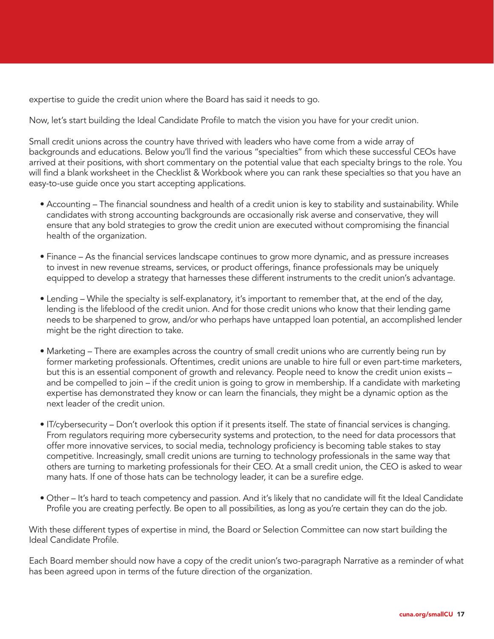expertise to guide the credit union where the Board has said it needs to go.

Now, let's start building the Ideal Candidate Profile to match the vision you have for your credit union.

Small credit unions across the country have thrived with leaders who have come from a wide array of backgrounds and educations. Below you'll find the various "specialties" from which these successful CEOs have arrived at their positions, with short commentary on the potential value that each specialty brings to the role. You will find a blank worksheet in the Checklist & Workbook where you can rank these specialties so that you have an easy-to-use guide once you start accepting applications.

- Accounting The financial soundness and health of a credit union is key to stability and sustainability. While candidates with strong accounting backgrounds are occasionally risk averse and conservative, they will ensure that any bold strategies to grow the credit union are executed without compromising the financial health of the organization.
- Finance As the financial services landscape continues to grow more dynamic, and as pressure increases to invest in new revenue streams, services, or product offerings, finance professionals may be uniquely equipped to develop a strategy that harnesses these different instruments to the credit union's advantage.
- Lending While the specialty is self-explanatory, it's important to remember that, at the end of the day, lending is the lifeblood of the credit union. And for those credit unions who know that their lending game needs to be sharpened to grow, and/or who perhaps have untapped loan potential, an accomplished lender might be the right direction to take.
- Marketing There are examples across the country of small credit unions who are currently being run by former marketing professionals. Oftentimes, credit unions are unable to hire full or even part-time marketers, but this is an essential component of growth and relevancy. People need to know the credit union exists – and be compelled to join – if the credit union is going to grow in membership. If a candidate with marketing expertise has demonstrated they know or can learn the financials, they might be a dynamic option as the next leader of the credit union.
- IT/cybersecurity Don't overlook this option if it presents itself. The state of financial services is changing. From regulators requiring more cybersecurity systems and protection, to the need for data processors that offer more innovative services, to social media, technology proficiency is becoming table stakes to stay competitive. Increasingly, small credit unions are turning to technology professionals in the same way that others are turning to marketing professionals for their CEO. At a small credit union, the CEO is asked to wear many hats. If one of those hats can be technology leader, it can be a surefire edge.
- Other It's hard to teach competency and passion. And it's likely that no candidate will fit the Ideal Candidate Profile you are creating perfectly. Be open to all possibilities, as long as you're certain they can do the job.

With these different types of expertise in mind, the Board or Selection Committee can now start building the Ideal Candidate Profile.

Each Board member should now have a copy of the credit union's two-paragraph Narrative as a reminder of what has been agreed upon in terms of the future direction of the organization.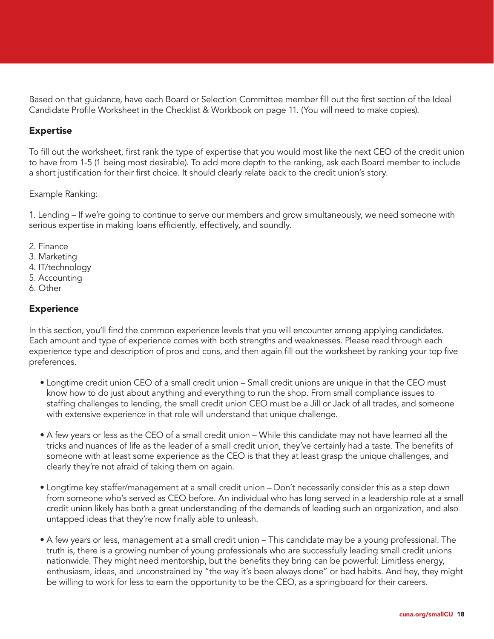Based on that guidance, have each Board or Selection Committee member fill out the first section of the Ideal Candidate Profile Worksheet in the Checklist & Workbook on page 11. (You will need to make copies).

### Expertise

To fill out the worksheet, first rank the type of expertise that you would most like the next CEO of the credit union to have from 1-5 (1 being most desirable). To add more depth to the ranking, ask each Board member to include a short justification for their first choice. It should clearly relate back to the credit union's story.

#### Example Ranking:

1. Lending – If we're going to continue to serve our members and grow simultaneously, we need someone with serious expertise in making loans efficiently, effectively, and soundly.

- 2. Finance
- 3. Marketing
- 4. IT/technology
- 5. Accounting
- 6. Other

# **Experience**

In this section, you'll find the common experience levels that you will encounter among applying candidates. Each amount and type of experience comes with both strengths and weaknesses. Please read through each experience type and description of pros and cons, and then again fill out the worksheet by ranking your top five preferences.

- Longtime credit union CEO of a small credit union Small credit unions are unique in that the CEO must know how to do just about anything and everything to run the shop. From small compliance issues to staffing challenges to lending, the small credit union CEO must be a Jill or Jack of all trades, and someone with extensive experience in that role will understand that unique challenge.
- A few years or less as the CEO of a small credit union While this candidate may not have learned all the tricks and nuances of life as the leader of a small credit union, they've certainly had a taste. The benefits of someone with at least some experience as the CEO is that they at least grasp the unique challenges, and clearly they're not afraid of taking them on again.
- Longtime key staffer/management at a small credit union Don't necessarily consider this as a step down from someone who's served as CEO before. An individual who has long served in a leadership role at a small credit union likely has both a great understanding of the demands of leading such an organization, and also untapped ideas that they're now finally able to unleash.
- A few years or less, management at a small credit union This candidate may be a young professional. The truth is, there is a growing number of young professionals who are successfully leading small credit unions nationwide. They might need mentorship, but the benefits they bring can be powerful: Limitless energy, enthusiasm, ideas, and unconstrained by "the way it's been always done" or bad habits. And hey, they might be willing to work for less to earn the opportunity to be the CEO, as a springboard for their careers.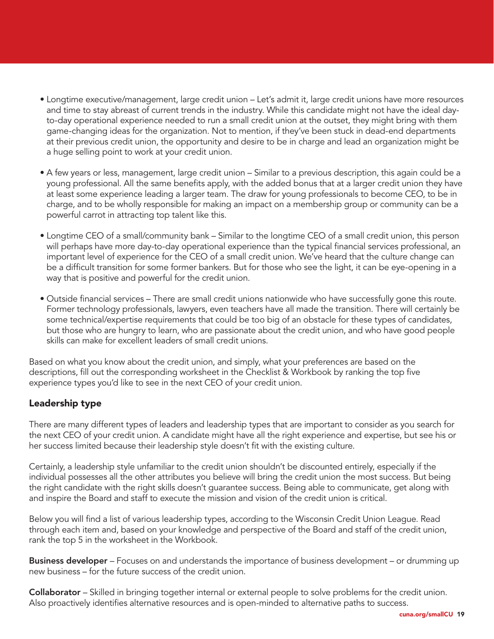- Longtime executive/management, large credit union Let's admit it, large credit unions have more resources and time to stay abreast of current trends in the industry. While this candidate might not have the ideal dayto-day operational experience needed to run a small credit union at the outset, they might bring with them game-changing ideas for the organization. Not to mention, if they've been stuck in dead-end departments at their previous credit union, the opportunity and desire to be in charge and lead an organization might be a huge selling point to work at your credit union.
- A few years or less, management, large credit union Similar to a previous description, this again could be a young professional. All the same benefits apply, with the added bonus that at a larger credit union they have at least some experience leading a larger team. The draw for young professionals to become CEO, to be in charge, and to be wholly responsible for making an impact on a membership group or community can be a powerful carrot in attracting top talent like this.
- Longtime CEO of a small/community bank Similar to the longtime CEO of a small credit union, this person will perhaps have more day-to-day operational experience than the typical financial services professional, an important level of experience for the CEO of a small credit union. We've heard that the culture change can be a difficult transition for some former bankers. But for those who see the light, it can be eye-opening in a way that is positive and powerful for the credit union.
- Outside financial services There are small credit unions nationwide who have successfully gone this route. Former technology professionals, lawyers, even teachers have all made the transition. There will certainly be some technical/expertise requirements that could be too big of an obstacle for these types of candidates, but those who are hungry to learn, who are passionate about the credit union, and who have good people skills can make for excellent leaders of small credit unions.

Based on what you know about the credit union, and simply, what your preferences are based on the descriptions, fill out the corresponding worksheet in the Checklist & Workbook by ranking the top five experience types you'd like to see in the next CEO of your credit union.

# Leadership type

There are many different types of leaders and leadership types that are important to consider as you search for the next CEO of your credit union. A candidate might have all the right experience and expertise, but see his or her success limited because their leadership style doesn't fit with the existing culture.

Certainly, a leadership style unfamiliar to the credit union shouldn't be discounted entirely, especially if the individual possesses all the other attributes you believe will bring the credit union the most success. But being the right candidate with the right skills doesn't guarantee success. Being able to communicate, get along with and inspire the Board and staff to execute the mission and vision of the credit union is critical.

Below you will find a list of various leadership types, according to the Wisconsin Credit Union League. Read through each item and, based on your knowledge and perspective of the Board and staff of the credit union, rank the top 5 in the worksheet in the Workbook.

Business developer – Focuses on and understands the importance of business development – or drumming up new business – for the future success of the credit union.

Collaborator – Skilled in bringing together internal or external people to solve problems for the credit union. Also proactively identifies alternative resources and is open-minded to alternative paths to success.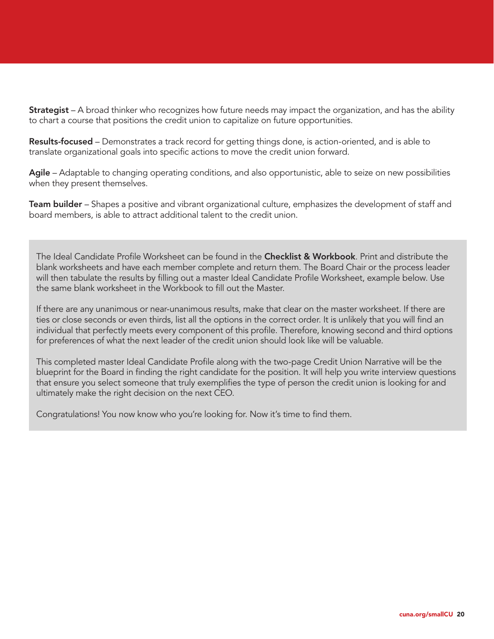**Strategist** – A broad thinker who recognizes how future needs may impact the organization, and has the ability to chart a course that positions the credit union to capitalize on future opportunities.

Results-focused – Demonstrates a track record for getting things done, is action-oriented, and is able to translate organizational goals into specific actions to move the credit union forward.

Agile – Adaptable to changing operating conditions, and also opportunistic, able to seize on new possibilities when they present themselves.

Team builder – Shapes a positive and vibrant organizational culture, emphasizes the development of staff and board members, is able to attract additional talent to the credit union.

The Ideal Candidate Profile Worksheet can be found in the Checklist & Workbook. Print and distribute the blank worksheets and have each member complete and return them. The Board Chair or the process leader will then tabulate the results by filling out a master Ideal Candidate Profile Worksheet, example below. Use the same blank worksheet in the Workbook to fill out the Master.

If there are any unanimous or near-unanimous results, make that clear on the master worksheet. If there are ties or close seconds or even thirds, list all the options in the correct order. It is unlikely that you will find an individual that perfectly meets every component of this profile. Therefore, knowing second and third options for preferences of what the next leader of the credit union should look like will be valuable.

This completed master Ideal Candidate Profile along with the two-page Credit Union Narrative will be the blueprint for the Board in finding the right candidate for the position. It will help you write interview questions that ensure you select someone that truly exemplifies the type of person the credit union is looking for and ultimately make the right decision on the next CEO.

Congratulations! You now know who you're looking for. Now it's time to find them.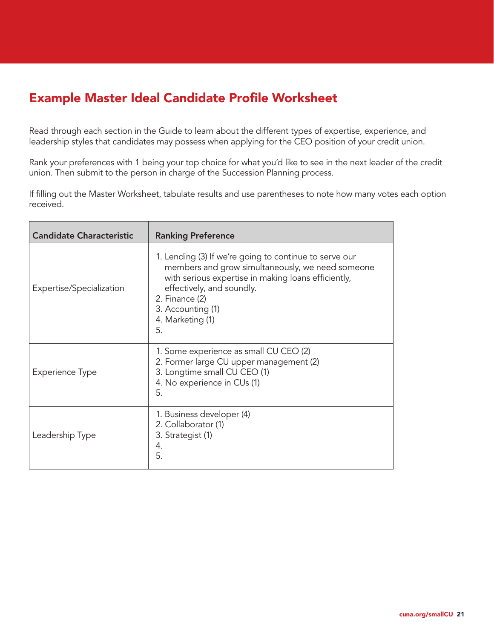# Example Master Ideal Candidate Profile Worksheet

Read through each section in the Guide to learn about the different types of expertise, experience, and leadership styles that candidates may possess when applying for the CEO position of your credit union.

Rank your preferences with 1 being your top choice for what you'd like to see in the next leader of the credit union. Then submit to the person in charge of the Succession Planning process.

If filling out the Master Worksheet, tabulate results and use parentheses to note how many votes each option received.

| <b>Candidate Characteristic</b> | <b>Ranking Preference</b>                                                                                                                                                                                                                                       |
|---------------------------------|-----------------------------------------------------------------------------------------------------------------------------------------------------------------------------------------------------------------------------------------------------------------|
| Expertise/Specialization        | 1. Lending (3) If we're going to continue to serve our<br>members and grow simultaneously, we need someone<br>with serious expertise in making loans efficiently,<br>effectively, and soundly.<br>2. Finance (2)<br>3. Accounting (1)<br>4. Marketing (1)<br>5. |
| <b>Experience Type</b>          | 1. Some experience as small CU CEO (2)<br>2. Former large CU upper management (2)<br>3. Longtime small CU CEO (1)<br>4. No experience in CUs (1)<br>5.                                                                                                          |
| Leadership Type                 | 1. Business developer (4)<br>2. Collaborator (1)<br>3. Strategist (1)<br>4.<br>5.                                                                                                                                                                               |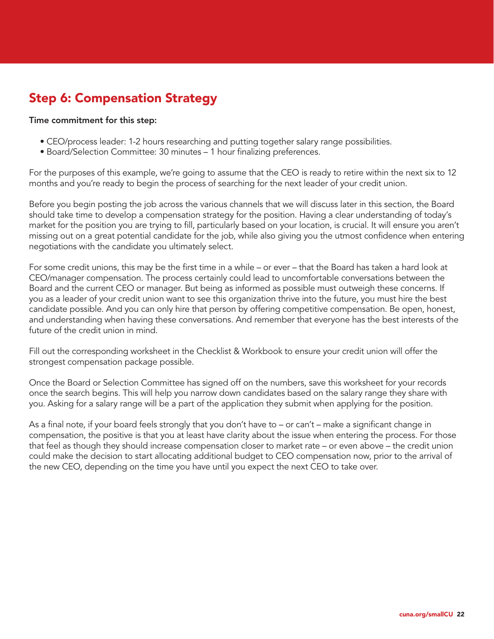# Step 6: Compensation Strategy

#### Time commitment for this step:

- CEO/process leader: 1-2 hours researching and putting together salary range possibilities.
- Board/Selection Committee: 30 minutes 1 hour finalizing preferences.

For the purposes of this example, we're going to assume that the CEO is ready to retire within the next six to 12 months and you're ready to begin the process of searching for the next leader of your credit union.

Before you begin posting the job across the various channels that we will discuss later in this section, the Board should take time to develop a compensation strategy for the position. Having a clear understanding of today's market for the position you are trying to fill, particularly based on your location, is crucial. It will ensure you aren't missing out on a great potential candidate for the job, while also giving you the utmost confidence when entering negotiations with the candidate you ultimately select.

For some credit unions, this may be the first time in a while – or ever – that the Board has taken a hard look at CEO/manager compensation. The process certainly could lead to uncomfortable conversations between the Board and the current CEO or manager. But being as informed as possible must outweigh these concerns. If you as a leader of your credit union want to see this organization thrive into the future, you must hire the best candidate possible. And you can only hire that person by offering competitive compensation. Be open, honest, and understanding when having these conversations. And remember that everyone has the best interests of the future of the credit union in mind.

Fill out the corresponding worksheet in the Checklist & Workbook to ensure your credit union will offer the strongest compensation package possible.

Once the Board or Selection Committee has signed off on the numbers, save this worksheet for your records once the search begins. This will help you narrow down candidates based on the salary range they share with you. Asking for a salary range will be a part of the application they submit when applying for the position.

As a final note, if your board feels strongly that you don't have to – or can't – make a significant change in compensation, the positive is that you at least have clarity about the issue when entering the process. For those that feel as though they should increase compensation closer to market rate – or even above – the credit union could make the decision to start allocating additional budget to CEO compensation now, prior to the arrival of the new CEO, depending on the time you have until you expect the next CEO to take over.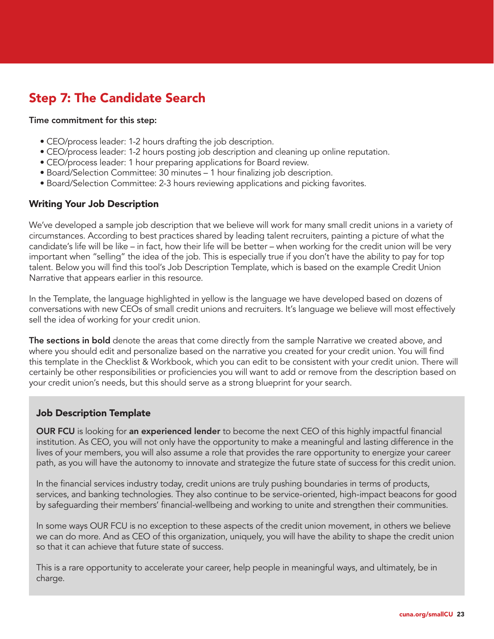# Step 7: The Candidate Search

#### Time commitment for this step:

- CEO/process leader: 1-2 hours drafting the job description.
- CEO/process leader: 1-2 hours posting job description and cleaning up online reputation.
- CEO/process leader: 1 hour preparing applications for Board review.
- Board/Selection Committee: 30 minutes 1 hour finalizing job description.
- Board/Selection Committee: 2-3 hours reviewing applications and picking favorites.

# Writing Your Job Description

We've developed a sample job description that we believe will work for many small credit unions in a variety of circumstances. According to best practices shared by leading talent recruiters, painting a picture of what the candidate's life will be like – in fact, how their life will be better – when working for the credit union will be very important when "selling" the idea of the job. This is especially true if you don't have the ability to pay for top talent. Below you will find this tool's Job Description Template, which is based on the example Credit Union Narrative that appears earlier in this resource.

In the Template, the language highlighted in yellow is the language we have developed based on dozens of conversations with new CEOs of small credit unions and recruiters. It's language we believe will most effectively sell the idea of working for your credit union.

The sections in bold denote the areas that come directly from the sample Narrative we created above, and where you should edit and personalize based on the narrative you created for your credit union. You will find this template in the Checklist & Workbook, which you can edit to be consistent with your credit union. There will certainly be other responsibilities or proficiencies you will want to add or remove from the description based on your credit union's needs, but this should serve as a strong blueprint for your search.

# Job Description Template

OUR FCU is looking for an experienced lender to become the next CEO of this highly impactful financial institution. As CEO, you will not only have the opportunity to make a meaningful and lasting difference in the lives of your members, you will also assume a role that provides the rare opportunity to energize your career path, as you will have the autonomy to innovate and strategize the future state of success for this credit union.

In the financial services industry today, credit unions are truly pushing boundaries in terms of products, services, and banking technologies. They also continue to be service-oriented, high-impact beacons for good by safeguarding their members' financial-wellbeing and working to unite and strengthen their communities.

In some ways OUR FCU is no exception to these aspects of the credit union movement, in others we believe we can do more. And as CEO of this organization, uniquely, you will have the ability to shape the credit union so that it can achieve that future state of success.

This is a rare opportunity to accelerate your career, help people in meaningful ways, and ultimately, be in charge.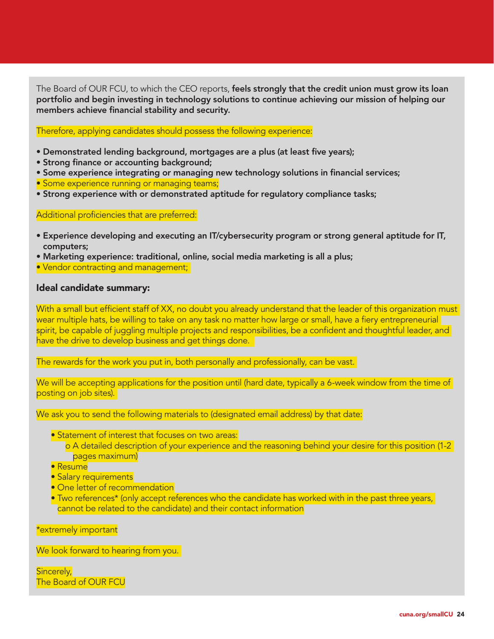The Board of OUR FCU, to which the CEO reports, feels strongly that the credit union must grow its loan portfolio and begin investing in technology solutions to continue achieving our mission of helping our members achieve financial stability and security.

#### Therefore, applying candidates should possess the following experience:

- Demonstrated lending background, mortgages are a plus (at least five years);
- Strong finance or accounting background;
- Some experience integrating or managing new technology solutions in financial services;
- Some experience running or managing teams;
- Strong experience with or demonstrated aptitude for regulatory compliance tasks;

Additional proficiencies that are preferred:

- Experience developing and executing an IT/cybersecurity program or strong general aptitude for IT, computers;
- Marketing experience: traditional, online, social media marketing is all a plus;
- Vendor contracting and management;

#### Ideal candidate summary:

With a small but efficient staff of XX, no doubt you already understand that the leader of this organization must wear multiple hats, be willing to take on any task no matter how large or small, have a fiery entrepreneurial spirit, be capable of juggling multiple projects and responsibilities, be a confident and thoughtful leader, and have the drive to develop business and get things done.

The rewards for the work you put in, both personally and professionally, can be vast.

We will be accepting applications for the position until (hard date, typically a 6-week window from the time of posting on job sites).

We ask you to send the following materials to (designated email address) by that date:

- **Statement of interest that focuses on two areas:** 
	- o A detailed description of your experience and the reasoning behind your desire for this position (1-2 pages maximum)
- Resume
- Salary requirements
- One letter of recommendation
- Two references\* (only accept references who the candidate has worked with in the past three years, cannot be related to the candidate) and their contact information

\*extremely important

We look forward to hearing from you.

Sincerely, The Board of OUR FCU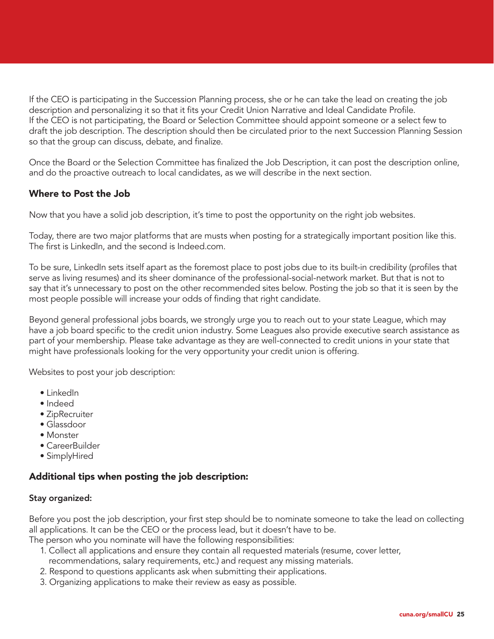If the CEO is participating in the Succession Planning process, she or he can take the lead on creating the job description and personalizing it so that it fits your Credit Union Narrative and Ideal Candidate Profile. If the CEO is not participating, the Board or Selection Committee should appoint someone or a select few to draft the job description. The description should then be circulated prior to the next Succession Planning Session so that the group can discuss, debate, and finalize.

Once the Board or the Selection Committee has finalized the Job Description, it can post the description online, and do the proactive outreach to local candidates, as we will describe in the next section.

# Where to Post the Job

Now that you have a solid job description, it's time to post the opportunity on the right job websites.

Today, there are two major platforms that are musts when posting for a strategically important position like this. The first is LinkedIn, and the second is Indeed.com.

To be sure, LinkedIn sets itself apart as the foremost place to post jobs due to its built-in credibility (profiles that serve as living resumes) and its sheer dominance of the professional-social-network market. But that is not to say that it's unnecessary to post on the other recommended sites below. Posting the job so that it is seen by the most people possible will increase your odds of finding that right candidate.

Beyond general professional jobs boards, we strongly urge you to reach out to your state League, which may have a job board specific to the credit union industry. Some Leagues also provide executive search assistance as part of your membership. Please take advantage as they are well-connected to credit unions in your state that might have professionals looking for the very opportunity your credit union is offering.

Websites to post your job description:

- LinkedIn
- Indeed
- ZipRecruiter
- Glassdoor
- Monster
- CareerBuilder
- SimplyHired

# Additional tips when posting the job description:

#### Stay organized:

Before you post the job description, your first step should be to nominate someone to take the lead on collecting all applications. It can be the CEO or the process lead, but it doesn't have to be.

The person who you nominate will have the following responsibilities:

- 1. Collect all applications and ensure they contain all requested materials (resume, cover letter, recommendations, salary requirements, etc.) and request any missing materials.
- 2. Respond to questions applicants ask when submitting their applications.
- 3. Organizing applications to make their review as easy as possible.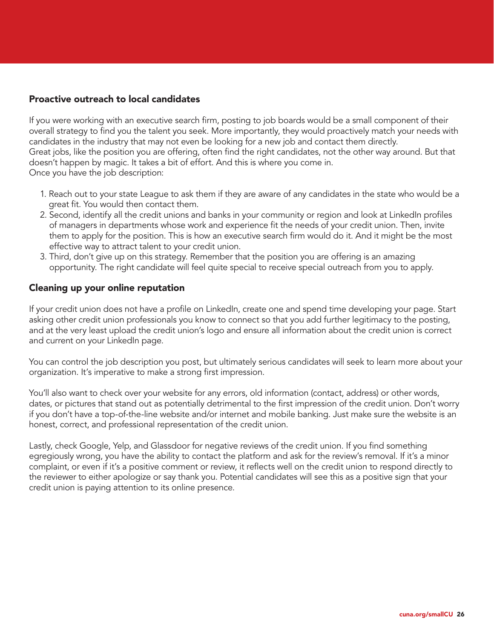### Proactive outreach to local candidates

If you were working with an executive search firm, posting to job boards would be a small component of their overall strategy to find you the talent you seek. More importantly, they would proactively match your needs with candidates in the industry that may not even be looking for a new job and contact them directly. Great jobs, like the position you are offering, often find the right candidates, not the other way around. But that doesn't happen by magic. It takes a bit of effort. And this is where you come in. Once you have the job description:

- 1. Reach out to your state League to ask them if they are aware of any candidates in the state who would be a great fit. You would then contact them.
- 2. Second, identify all the credit unions and banks in your community or region and look at LinkedIn profiles of managers in departments whose work and experience fit the needs of your credit union. Then, invite them to apply for the position. This is how an executive search firm would do it. And it might be the most effective way to attract talent to your credit union.
- 3. Third, don't give up on this strategy. Remember that the position you are offering is an amazing opportunity. The right candidate will feel quite special to receive special outreach from you to apply.

### Cleaning up your online reputation

If your credit union does not have a profile on LinkedIn, create one and spend time developing your page. Start asking other credit union professionals you know to connect so that you add further legitimacy to the posting, and at the very least upload the credit union's logo and ensure all information about the credit union is correct and current on your LinkedIn page.

You can control the job description you post, but ultimately serious candidates will seek to learn more about your organization. It's imperative to make a strong first impression.

You'll also want to check over your website for any errors, old information (contact, address) or other words, dates, or pictures that stand out as potentially detrimental to the first impression of the credit union. Don't worry if you don't have a top-of-the-line website and/or internet and mobile banking. Just make sure the website is an honest, correct, and professional representation of the credit union.

Lastly, check Google, Yelp, and Glassdoor for negative reviews of the credit union. If you find something egregiously wrong, you have the ability to contact the platform and ask for the review's removal. If it's a minor complaint, or even if it's a positive comment or review, it reflects well on the credit union to respond directly to the reviewer to either apologize or say thank you. Potential candidates will see this as a positive sign that your credit union is paying attention to its online presence.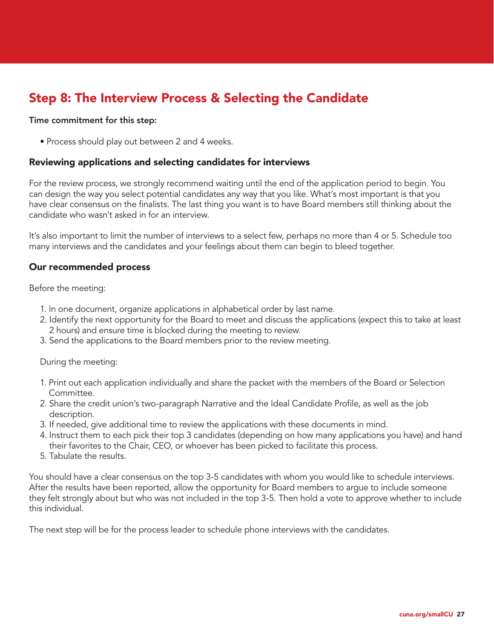# Step 8: The Interview Process & Selecting the Candidate

#### Time commitment for this step:

• Process should play out between 2 and 4 weeks.

#### Reviewing applications and selecting candidates for interviews

For the review process, we strongly recommend waiting until the end of the application period to begin. You can design the way you select potential candidates any way that you like. What's most important is that you have clear consensus on the finalists. The last thing you want is to have Board members still thinking about the candidate who wasn't asked in for an interview.

It's also important to limit the number of interviews to a select few, perhaps no more than 4 or 5. Schedule too many interviews and the candidates and your feelings about them can begin to bleed together.

#### Our recommended process

Before the meeting:

- 1. In one document, organize applications in alphabetical order by last name.
- 2. Identify the next opportunity for the Board to meet and discuss the applications (expect this to take at least 2 hours) and ensure time is blocked during the meeting to review.
- 3. Send the applications to the Board members prior to the review meeting.

During the meeting:

- 1. Print out each application individually and share the packet with the members of the Board or Selection Committee.
- 2. Share the credit union's two-paragraph Narrative and the Ideal Candidate Profile, as well as the job description.
- 3. If needed, give additional time to review the applications with these documents in mind.
- 4. Instruct them to each pick their top 3 candidates (depending on how many applications you have) and hand their favorites to the Chair, CEO, or whoever has been picked to facilitate this process.
- 5. Tabulate the results.

You should have a clear consensus on the top 3-5 candidates with whom you would like to schedule interviews. After the results have been reported, allow the opportunity for Board members to argue to include someone they felt strongly about but who was not included in the top 3-5. Then hold a vote to approve whether to include this individual.

The next step will be for the process leader to schedule phone interviews with the candidates.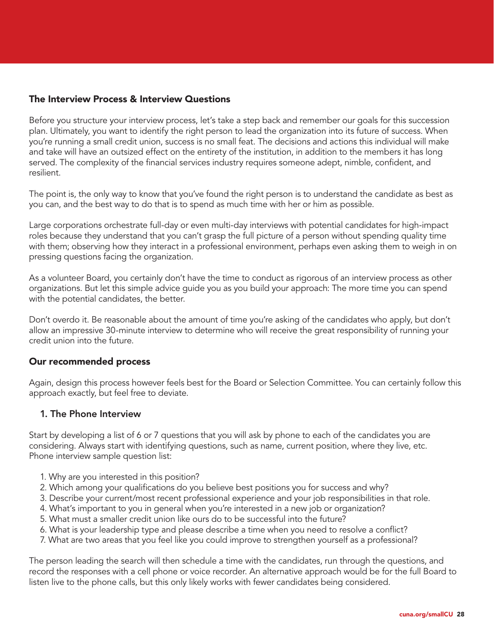# The Interview Process & Interview Questions

Before you structure your interview process, let's take a step back and remember our goals for this succession plan. Ultimately, you want to identify the right person to lead the organization into its future of success. When you're running a small credit union, success is no small feat. The decisions and actions this individual will make and take will have an outsized effect on the entirety of the institution, in addition to the members it has long served. The complexity of the financial services industry requires someone adept, nimble, confident, and resilient.

The point is, the only way to know that you've found the right person is to understand the candidate as best as you can, and the best way to do that is to spend as much time with her or him as possible.

Large corporations orchestrate full-day or even multi-day interviews with potential candidates for high-impact roles because they understand that you can't grasp the full picture of a person without spending quality time with them; observing how they interact in a professional environment, perhaps even asking them to weigh in on pressing questions facing the organization.

As a volunteer Board, you certainly don't have the time to conduct as rigorous of an interview process as other organizations. But let this simple advice guide you as you build your approach: The more time you can spend with the potential candidates, the better.

Don't overdo it. Be reasonable about the amount of time you're asking of the candidates who apply, but don't allow an impressive 30-minute interview to determine who will receive the great responsibility of running your credit union into the future.

# Our recommended process

Again, design this process however feels best for the Board or Selection Committee. You can certainly follow this approach exactly, but feel free to deviate.

# 1. The Phone Interview

Start by developing a list of 6 or 7 questions that you will ask by phone to each of the candidates you are considering. Always start with identifying questions, such as name, current position, where they live, etc. Phone interview sample question list:

- 1. Why are you interested in this position?
- 2. Which among your qualifications do you believe best positions you for success and why?
- 3. Describe your current/most recent professional experience and your job responsibilities in that role.
- 4. What's important to you in general when you're interested in a new job or organization?
- 5. What must a smaller credit union like ours do to be successful into the future?
- 6. What is your leadership type and please describe a time when you need to resolve a conflict?
- 7. What are two areas that you feel like you could improve to strengthen yourself as a professional?

The person leading the search will then schedule a time with the candidates, run through the questions, and record the responses with a cell phone or voice recorder. An alternative approach would be for the full Board to listen live to the phone calls, but this only likely works with fewer candidates being considered.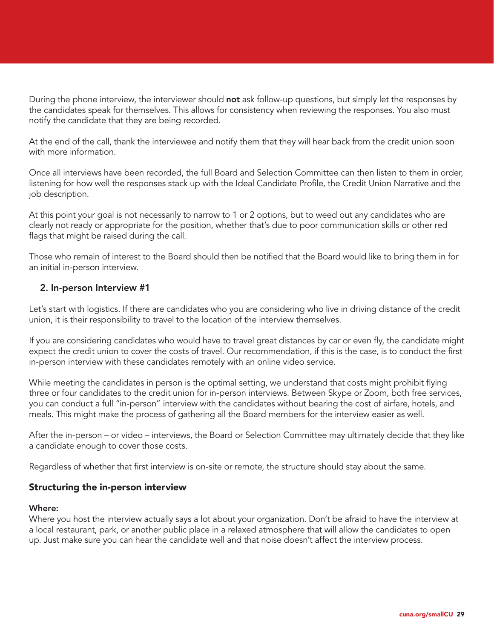During the phone interview, the interviewer should not ask follow-up questions, but simply let the responses by the candidates speak for themselves. This allows for consistency when reviewing the responses. You also must notify the candidate that they are being recorded.

At the end of the call, thank the interviewee and notify them that they will hear back from the credit union soon with more information.

Once all interviews have been recorded, the full Board and Selection Committee can then listen to them in order, listening for how well the responses stack up with the Ideal Candidate Profile, the Credit Union Narrative and the job description.

At this point your goal is not necessarily to narrow to 1 or 2 options, but to weed out any candidates who are clearly not ready or appropriate for the position, whether that's due to poor communication skills or other red flags that might be raised during the call.

Those who remain of interest to the Board should then be notified that the Board would like to bring them in for an initial in-person interview.

### 2. In-person Interview #1

Let's start with logistics. If there are candidates who you are considering who live in driving distance of the credit union, it is their responsibility to travel to the location of the interview themselves.

If you are considering candidates who would have to travel great distances by car or even fly, the candidate might expect the credit union to cover the costs of travel. Our recommendation, if this is the case, is to conduct the first in-person interview with these candidates remotely with an online video service.

While meeting the candidates in person is the optimal setting, we understand that costs might prohibit flying three or four candidates to the credit union for in-person interviews. Between Skype or Zoom, both free services, you can conduct a full "in-person" interview with the candidates without bearing the cost of airfare, hotels, and meals. This might make the process of gathering all the Board members for the interview easier as well.

After the in-person – or video – interviews, the Board or Selection Committee may ultimately decide that they like a candidate enough to cover those costs.

Regardless of whether that first interview is on-site or remote, the structure should stay about the same.

#### Structuring the in-person interview

#### Where:

Where you host the interview actually says a lot about your organization. Don't be afraid to have the interview at a local restaurant, park, or another public place in a relaxed atmosphere that will allow the candidates to open up. Just make sure you can hear the candidate well and that noise doesn't affect the interview process.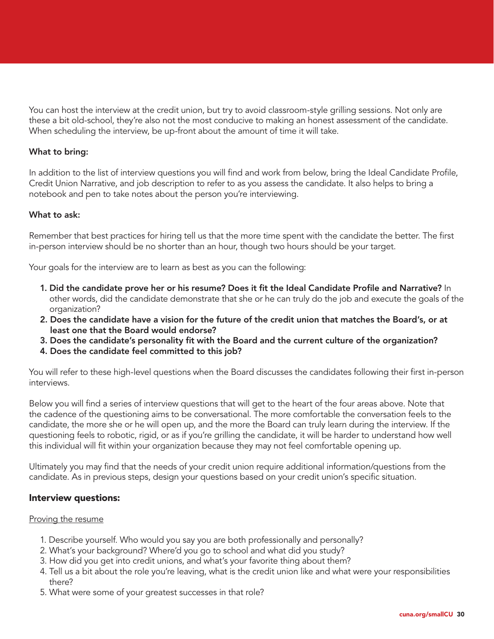You can host the interview at the credit union, but try to avoid classroom-style grilling sessions. Not only are these a bit old-school, they're also not the most conducive to making an honest assessment of the candidate. When scheduling the interview, be up-front about the amount of time it will take.

#### What to bring:

In addition to the list of interview questions you will find and work from below, bring the Ideal Candidate Profile, Credit Union Narrative, and job description to refer to as you assess the candidate. It also helps to bring a notebook and pen to take notes about the person you're interviewing.

#### What to ask:

Remember that best practices for hiring tell us that the more time spent with the candidate the better. The first in-person interview should be no shorter than an hour, though two hours should be your target.

Your goals for the interview are to learn as best as you can the following:

- 1. Did the candidate prove her or his resume? Does it fit the Ideal Candidate Profile and Narrative? In other words, did the candidate demonstrate that she or he can truly do the job and execute the goals of the organization?
- 2. Does the candidate have a vision for the future of the credit union that matches the Board's, or at least one that the Board would endorse?
- 3. Does the candidate's personality fit with the Board and the current culture of the organization?
- 4. Does the candidate feel committed to this job?

You will refer to these high-level questions when the Board discusses the candidates following their first in-person interviews.

Below you will find a series of interview questions that will get to the heart of the four areas above. Note that the cadence of the questioning aims to be conversational. The more comfortable the conversation feels to the candidate, the more she or he will open up, and the more the Board can truly learn during the interview. If the questioning feels to robotic, rigid, or as if you're grilling the candidate, it will be harder to understand how well this individual will fit within your organization because they may not feel comfortable opening up.

Ultimately you may find that the needs of your credit union require additional information/questions from the candidate. As in previous steps, design your questions based on your credit union's specific situation.

#### Interview questions:

#### Proving the resume

- 1. Describe yourself. Who would you say you are both professionally and personally?
- 2. What's your background? Where'd you go to school and what did you study?
- 3. How did you get into credit unions, and what's your favorite thing about them?
- 4. Tell us a bit about the role you're leaving, what is the credit union like and what were your responsibilities there?
- 5. What were some of your greatest successes in that role?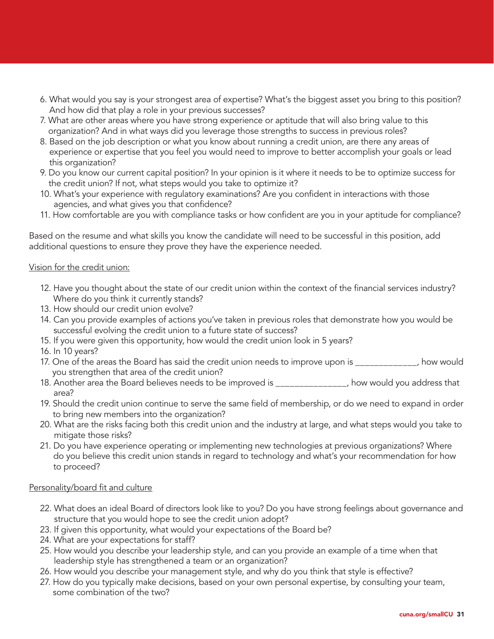- 6. What would you say is your strongest area of expertise? What's the biggest asset you bring to this position? And how did that play a role in your previous successes?
- 7. What are other areas where you have strong experience or aptitude that will also bring value to this organization? And in what ways did you leverage those strengths to success in previous roles?
- 8. Based on the job description or what you know about running a credit union, are there any areas of experience or expertise that you feel you would need to improve to better accomplish your goals or lead this organization?
- 9. Do you know our current capital position? In your opinion is it where it needs to be to optimize success for the credit union? If not, what steps would you take to optimize it?
- 10. What's your experience with regulatory examinations? Are you confident in interactions with those agencies, and what gives you that confidence?
- 11. How comfortable are you with compliance tasks or how confident are you in your aptitude for compliance?

Based on the resume and what skills you know the candidate will need to be successful in this position, add additional questions to ensure they prove they have the experience needed.

#### Vision for the credit union:

- 12. Have you thought about the state of our credit union within the context of the financial services industry? Where do you think it currently stands?
- 13. How should our credit union evolve?
- 14. Can you provide examples of actions you've taken in previous roles that demonstrate how you would be successful evolving the credit union to a future state of success?
- 15. If you were given this opportunity, how would the credit union look in 5 years?
- 16. In 10 years?
- 17. One of the areas the Board has said the credit union needs to improve upon is \_\_\_\_\_\_\_\_\_\_\_\_\_, how would you strengthen that area of the credit union?
- 18. Another area the Board believes needs to be improved is \_\_\_\_\_\_\_\_\_\_\_\_\_\_\_, how would you address that area?
- 19. Should the credit union continue to serve the same field of membership, or do we need to expand in order to bring new members into the organization?
- 20. What are the risks facing both this credit union and the industry at large, and what steps would you take to mitigate those risks?
- 21. Do you have experience operating or implementing new technologies at previous organizations? Where do you believe this credit union stands in regard to technology and what's your recommendation for how to proceed?

#### Personality/board fit and culture

- 22. What does an ideal Board of directors look like to you? Do you have strong feelings about governance and structure that you would hope to see the credit union adopt?
- 23. If given this opportunity, what would your expectations of the Board be?
- 24. What are your expectations for staff?
- 25. How would you describe your leadership style, and can you provide an example of a time when that leadership style has strengthened a team or an organization?
- 26. How would you describe your management style, and why do you think that style is effective?
- 27. How do you typically make decisions, based on your own personal expertise, by consulting your team, some combination of the two?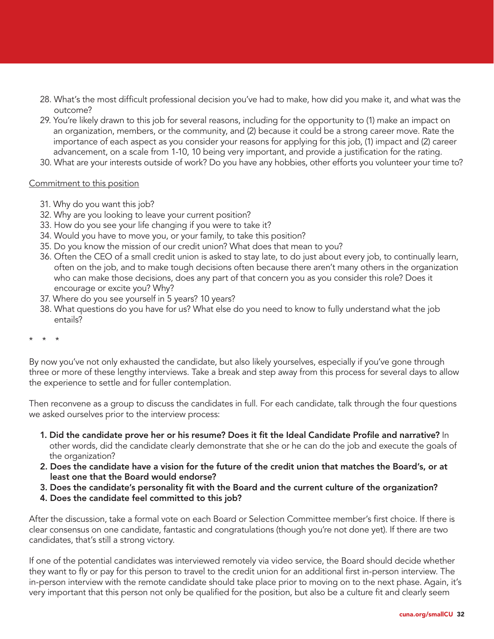- 28. What's the most difficult professional decision you've had to make, how did you make it, and what was the outcome?
- 29. You're likely drawn to this job for several reasons, including for the opportunity to (1) make an impact on an organization, members, or the community, and (2) because it could be a strong career move. Rate the importance of each aspect as you consider your reasons for applying for this job, (1) impact and (2) career advancement, on a scale from 1-10, 10 being very important, and provide a justification for the rating.
- 30. What are your interests outside of work? Do you have any hobbies, other efforts you volunteer your time to?

#### Commitment to this position

- 31. Why do you want this job?
- 32. Why are you looking to leave your current position?
- 33. How do you see your life changing if you were to take it?
- 34. Would you have to move you, or your family, to take this position?
- 35. Do you know the mission of our credit union? What does that mean to you?
- 36. Often the CEO of a small credit union is asked to stay late, to do just about every job, to continually learn, often on the job, and to make tough decisions often because there aren't many others in the organization who can make those decisions, does any part of that concern you as you consider this role? Does it encourage or excite you? Why?
- 37. Where do you see yourself in 5 years? 10 years?
- 38. What questions do you have for us? What else do you need to know to fully understand what the job entails?

\* \* \*

By now you've not only exhausted the candidate, but also likely yourselves, especially if you've gone through three or more of these lengthy interviews. Take a break and step away from this process for several days to allow the experience to settle and for fuller contemplation.

Then reconvene as a group to discuss the candidates in full. For each candidate, talk through the four questions we asked ourselves prior to the interview process:

- 1. Did the candidate prove her or his resume? Does it fit the Ideal Candidate Profile and narrative? In other words, did the candidate clearly demonstrate that she or he can do the job and execute the goals of the organization?
- 2. Does the candidate have a vision for the future of the credit union that matches the Board's, or at least one that the Board would endorse?
- 3. Does the candidate's personality fit with the Board and the current culture of the organization?
- 4. Does the candidate feel committed to this job?

After the discussion, take a formal vote on each Board or Selection Committee member's first choice. If there is clear consensus on one candidate, fantastic and congratulations (though you're not done yet). If there are two candidates, that's still a strong victory.

If one of the potential candidates was interviewed remotely via video service, the Board should decide whether they want to fly or pay for this person to travel to the credit union for an additional first in-person interview. The in-person interview with the remote candidate should take place prior to moving on to the next phase. Again, it's very important that this person not only be qualified for the position, but also be a culture fit and clearly seem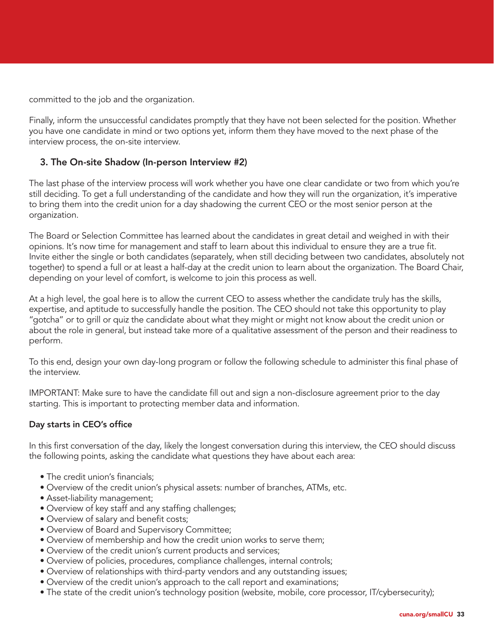committed to the job and the organization.

Finally, inform the unsuccessful candidates promptly that they have not been selected for the position. Whether you have one candidate in mind or two options yet, inform them they have moved to the next phase of the interview process, the on-site interview.

#### 3. The On-site Shadow (In-person Interview #2)

The last phase of the interview process will work whether you have one clear candidate or two from which you're still deciding. To get a full understanding of the candidate and how they will run the organization, it's imperative to bring them into the credit union for a day shadowing the current CEO or the most senior person at the organization.

The Board or Selection Committee has learned about the candidates in great detail and weighed in with their opinions. It's now time for management and staff to learn about this individual to ensure they are a true fit. Invite either the single or both candidates (separately, when still deciding between two candidates, absolutely not together) to spend a full or at least a half-day at the credit union to learn about the organization. The Board Chair, depending on your level of comfort, is welcome to join this process as well.

At a high level, the goal here is to allow the current CEO to assess whether the candidate truly has the skills, expertise, and aptitude to successfully handle the position. The CEO should not take this opportunity to play "gotcha" or to grill or quiz the candidate about what they might or might not know about the credit union or about the role in general, but instead take more of a qualitative assessment of the person and their readiness to perform.

To this end, design your own day-long program or follow the following schedule to administer this final phase of the interview.

IMPORTANT: Make sure to have the candidate fill out and sign a non-disclosure agreement prior to the day starting. This is important to protecting member data and information.

#### Day starts in CEO's office

In this first conversation of the day, likely the longest conversation during this interview, the CEO should discuss the following points, asking the candidate what questions they have about each area:

- The credit union's financials;
- Overview of the credit union's physical assets: number of branches, ATMs, etc.
- Asset-liability management;
- Overview of key staff and any staffing challenges;
- Overview of salary and benefit costs;
- Overview of Board and Supervisory Committee;
- Overview of membership and how the credit union works to serve them;
- Overview of the credit union's current products and services;
- Overview of policies, procedures, compliance challenges, internal controls;
- Overview of relationships with third-party vendors and any outstanding issues;
- Overview of the credit union's approach to the call report and examinations;
- The state of the credit union's technology position (website, mobile, core processor, IT/cybersecurity);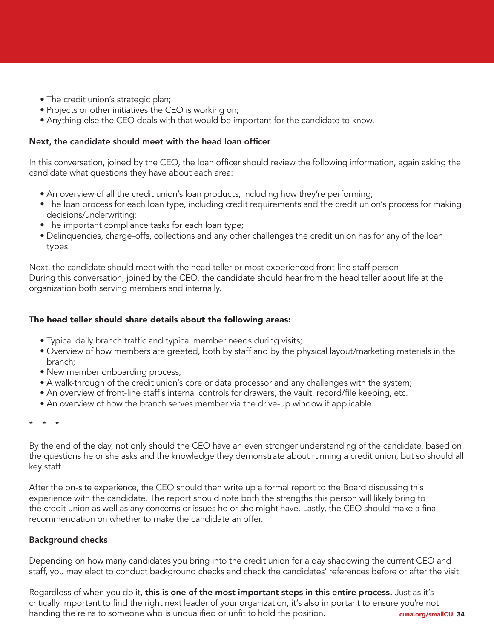- The credit union's strategic plan;
- Projects or other initiatives the CEO is working on;
- Anything else the CEO deals with that would be important for the candidate to know.

#### Next, the candidate should meet with the head loan officer

In this conversation, joined by the CEO, the loan officer should review the following information, again asking the candidate what questions they have about each area:

- An overview of all the credit union's loan products, including how they're performing;
- The loan process for each loan type, including credit requirements and the credit union's process for making decisions/underwriting;
- The important compliance tasks for each loan type;
- Delinquencies, charge-offs, collections and any other challenges the credit union has for any of the loan types.

Next, the candidate should meet with the head teller or most experienced front-line staff person During this conversation, joined by the CEO, the candidate should hear from the head teller about life at the organization both serving members and internally.

### The head teller should share details about the following areas:

- Typical daily branch traffic and typical member needs during visits;
- Overview of how members are greeted, both by staff and by the physical layout/marketing materials in the branch;
- New member onboarding process;
- A walk-through of the credit union's core or data processor and any challenges with the system;
- An overview of front-line staff's internal controls for drawers, the vault, record/file keeping, etc.
- An overview of how the branch serves member via the drive-up window if applicable.

\* \* \*

By the end of the day, not only should the CEO have an even stronger understanding of the candidate, based on the questions he or she asks and the knowledge they demonstrate about running a credit union, but so should all key staff.

After the on-site experience, the CEO should then write up a formal report to the Board discussing this experience with the candidate. The report should note both the strengths this person will likely bring to the credit union as well as any concerns or issues he or she might have. Lastly, the CEO should make a final recommendation on whether to make the candidate an offer.

# Background checks

Depending on how many candidates you bring into the credit union for a day shadowing the current CEO and staff, you may elect to conduct background checks and check the candidates' references before or after the visit.

cuna.org/smallCU 34 Regardless of when you do it, this is one of the most important steps in this entire process. Just as it's critically important to find the right next leader of your organization, it's also important to ensure you're not handing the reins to someone who is unqualified or unfit to hold the position.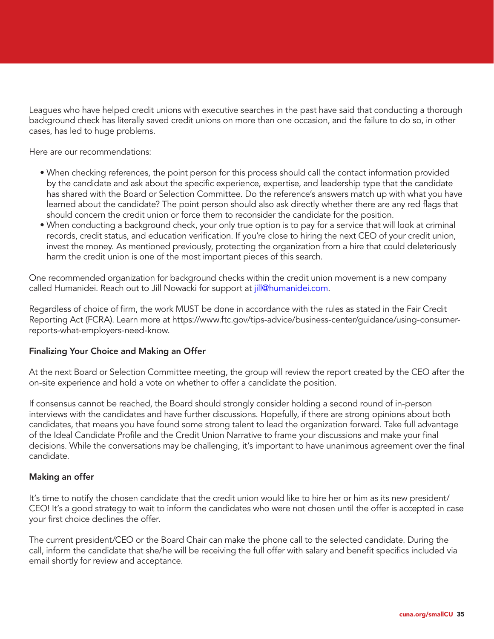Leagues who have helped credit unions with executive searches in the past have said that conducting a thorough background check has literally saved credit unions on more than one occasion, and the failure to do so, in other cases, has led to huge problems.

Here are our recommendations:

- When checking references, the point person for this process should call the contact information provided by the candidate and ask about the specific experience, expertise, and leadership type that the candidate has shared with the Board or Selection Committee. Do the reference's answers match up with what you have learned about the candidate? The point person should also ask directly whether there are any red flags that should concern the credit union or force them to reconsider the candidate for the position.
- When conducting a background check, your only true option is to pay for a service that will look at criminal records, credit status, and education verification. If you're close to hiring the next CEO of your credit union, invest the money. As mentioned previously, protecting the organization from a hire that could deleteriously harm the credit union is one of the most important pieces of this search.

One recommended organization for background checks within the credit union movement is a new company called Humanidei. Reach out to Jill Nowacki for support at *jill@humanidei.com*.

Regardless of choice of firm, the work MUST be done in accordance with the rules as stated in the Fair Credit Reporting Act (FCRA). Learn more at https://www.ftc.gov/tips-advice/business-center/guidance/using-consumerreports-what-employers-need-know.

#### Finalizing Your Choice and Making an Offer

At the next Board or Selection Committee meeting, the group will review the report created by the CEO after the on-site experience and hold a vote on whether to offer a candidate the position.

If consensus cannot be reached, the Board should strongly consider holding a second round of in-person interviews with the candidates and have further discussions. Hopefully, if there are strong opinions about both candidates, that means you have found some strong talent to lead the organization forward. Take full advantage of the Ideal Candidate Profile and the Credit Union Narrative to frame your discussions and make your final decisions. While the conversations may be challenging, it's important to have unanimous agreement over the final candidate.

#### Making an offer

It's time to notify the chosen candidate that the credit union would like to hire her or him as its new president/ CEO! It's a good strategy to wait to inform the candidates who were not chosen until the offer is accepted in case your first choice declines the offer.

The current president/CEO or the Board Chair can make the phone call to the selected candidate. During the call, inform the candidate that she/he will be receiving the full offer with salary and benefit specifics included via email shortly for review and acceptance.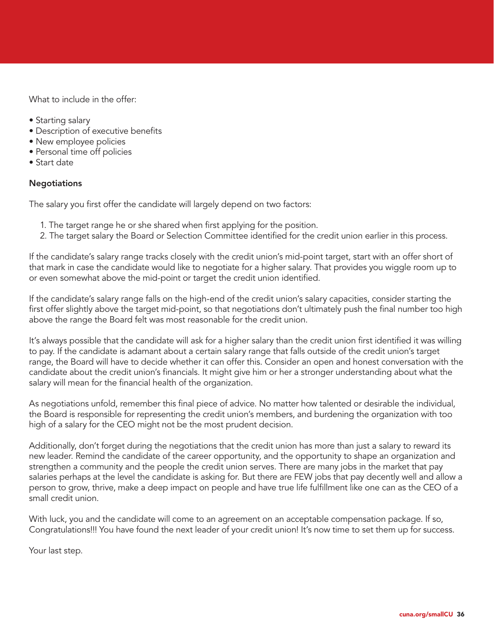What to include in the offer:

- Starting salary
- Description of executive benefits
- New employee policies
- Personal time off policies
- Start date

#### **Negotiations**

The salary you first offer the candidate will largely depend on two factors:

- 1. The target range he or she shared when first applying for the position.
- 2. The target salary the Board or Selection Committee identified for the credit union earlier in this process.

If the candidate's salary range tracks closely with the credit union's mid-point target, start with an offer short of that mark in case the candidate would like to negotiate for a higher salary. That provides you wiggle room up to or even somewhat above the mid-point or target the credit union identified.

If the candidate's salary range falls on the high-end of the credit union's salary capacities, consider starting the first offer slightly above the target mid-point, so that negotiations don't ultimately push the final number too high above the range the Board felt was most reasonable for the credit union.

It's always possible that the candidate will ask for a higher salary than the credit union first identified it was willing to pay. If the candidate is adamant about a certain salary range that falls outside of the credit union's target range, the Board will have to decide whether it can offer this. Consider an open and honest conversation with the candidate about the credit union's financials. It might give him or her a stronger understanding about what the salary will mean for the financial health of the organization.

As negotiations unfold, remember this final piece of advice. No matter how talented or desirable the individual, the Board is responsible for representing the credit union's members, and burdening the organization with too high of a salary for the CEO might not be the most prudent decision.

Additionally, don't forget during the negotiations that the credit union has more than just a salary to reward its new leader. Remind the candidate of the career opportunity, and the opportunity to shape an organization and strengthen a community and the people the credit union serves. There are many jobs in the market that pay salaries perhaps at the level the candidate is asking for. But there are FEW jobs that pay decently well and allow a person to grow, thrive, make a deep impact on people and have true life fulfillment like one can as the CEO of a small credit union.

With luck, you and the candidate will come to an agreement on an acceptable compensation package. If so, Congratulations!!! You have found the next leader of your credit union! It's now time to set them up for success.

Your last step.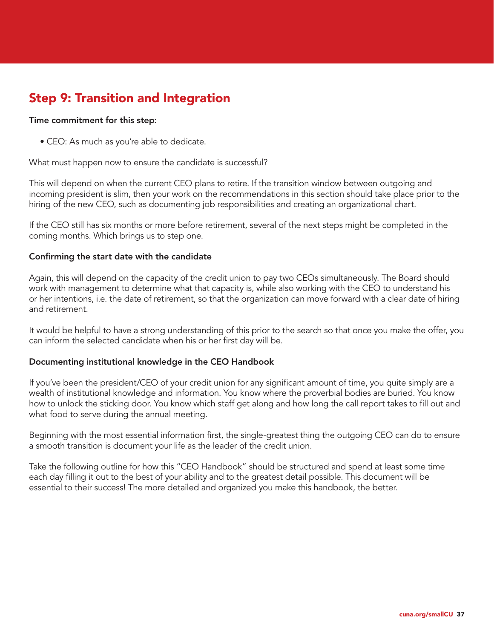# Step 9: Transition and Integration

#### Time commitment for this step:

• CEO: As much as you're able to dedicate.

What must happen now to ensure the candidate is successful?

This will depend on when the current CEO plans to retire. If the transition window between outgoing and incoming president is slim, then your work on the recommendations in this section should take place prior to the hiring of the new CEO, such as documenting job responsibilities and creating an organizational chart.

If the CEO still has six months or more before retirement, several of the next steps might be completed in the coming months. Which brings us to step one.

#### Confirming the start date with the candidate

Again, this will depend on the capacity of the credit union to pay two CEOs simultaneously. The Board should work with management to determine what that capacity is, while also working with the CEO to understand his or her intentions, i.e. the date of retirement, so that the organization can move forward with a clear date of hiring and retirement.

It would be helpful to have a strong understanding of this prior to the search so that once you make the offer, you can inform the selected candidate when his or her first day will be.

#### Documenting institutional knowledge in the CEO Handbook

If you've been the president/CEO of your credit union for any significant amount of time, you quite simply are a wealth of institutional knowledge and information. You know where the proverbial bodies are buried. You know how to unlock the sticking door. You know which staff get along and how long the call report takes to fill out and what food to serve during the annual meeting.

Beginning with the most essential information first, the single-greatest thing the outgoing CEO can do to ensure a smooth transition is document your life as the leader of the credit union.

Take the following outline for how this "CEO Handbook" should be structured and spend at least some time each day filling it out to the best of your ability and to the greatest detail possible. This document will be essential to their success! The more detailed and organized you make this handbook, the better.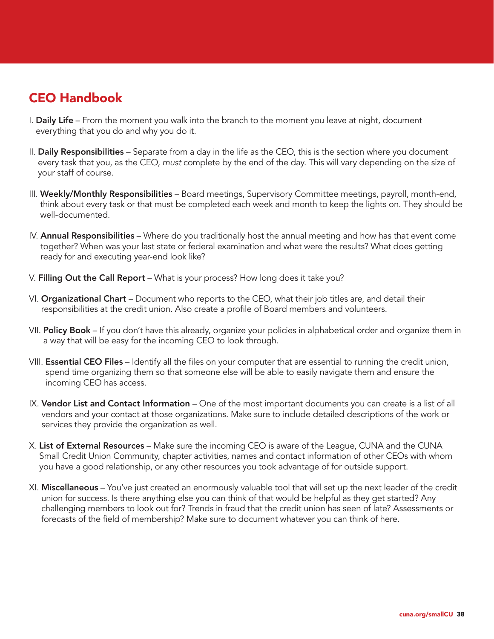# CEO Handbook

- I. Daily Life From the moment you walk into the branch to the moment you leave at night, document everything that you do and why you do it.
- II. Daily Responsibilities Separate from a day in the life as the CEO, this is the section where you document every task that you, as the CEO, *must* complete by the end of the day. This will vary depending on the size of your staff of course.
- III. Weekly/Monthly Responsibilities Board meetings, Supervisory Committee meetings, payroll, month-end, think about every task or that must be completed each week and month to keep the lights on. They should be well-documented.
- IV. **Annual Responsibilities** Where do you traditionally host the annual meeting and how has that event come together? When was your last state or federal examination and what were the results? What does getting ready for and executing year-end look like?
- V. Filling Out the Call Report What is your process? How long does it take you?
- VI. Organizational Chart Document who reports to the CEO, what their job titles are, and detail their responsibilities at the credit union. Also create a profile of Board members and volunteers.
- VII. Policy Book If you don't have this already, organize your policies in alphabetical order and organize them in a way that will be easy for the incoming CEO to look through.
- VIII. **Essential CEO Files** Identify all the files on your computer that are essential to running the credit union, spend time organizing them so that someone else will be able to easily navigate them and ensure the incoming CEO has access.
- IX. Vendor List and Contact Information One of the most important documents you can create is a list of all vendors and your contact at those organizations. Make sure to include detailed descriptions of the work or services they provide the organization as well.
- X. List of External Resources Make sure the incoming CEO is aware of the League, CUNA and the CUNA Small Credit Union Community, chapter activities, names and contact information of other CEOs with whom you have a good relationship, or any other resources you took advantage of for outside support.
- XI. Miscellaneous You've just created an enormously valuable tool that will set up the next leader of the credit union for success. Is there anything else you can think of that would be helpful as they get started? Any challenging members to look out for? Trends in fraud that the credit union has seen of late? Assessments or forecasts of the field of membership? Make sure to document whatever you can think of here.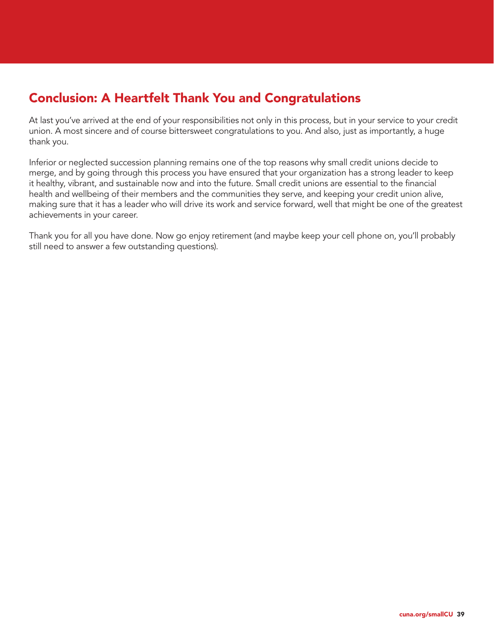# Conclusion: A Heartfelt Thank You and Congratulations

At last you've arrived at the end of your responsibilities not only in this process, but in your service to your credit union. A most sincere and of course bittersweet congratulations to you. And also, just as importantly, a huge thank you.

Inferior or neglected succession planning remains one of the top reasons why small credit unions decide to merge, and by going through this process you have ensured that your organization has a strong leader to keep it healthy, vibrant, and sustainable now and into the future. Small credit unions are essential to the financial health and wellbeing of their members and the communities they serve, and keeping your credit union alive, making sure that it has a leader who will drive its work and service forward, well that might be one of the greatest achievements in your career.

Thank you for all you have done. Now go enjoy retirement (and maybe keep your cell phone on, you'll probably still need to answer a few outstanding questions).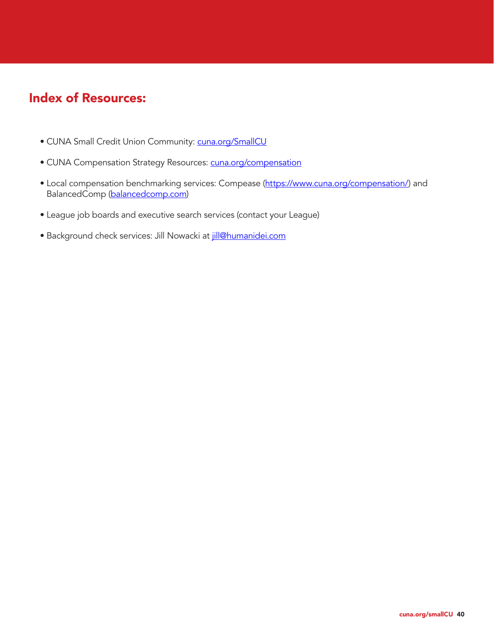# Index of Resources:

- CUNA Small Credit Union Community: cuna.org/SmallCU
- CUNA Compensation Strategy Resources: cuna.org/compensation
- Local compensation benchmarking services: Compease (https://www.cuna.org/compensation/) and BalancedComp (balancedcomp.com)
- League job boards and executive search services (contact your League)
- Background check services: Jill Nowacki at jill@humanidei.com